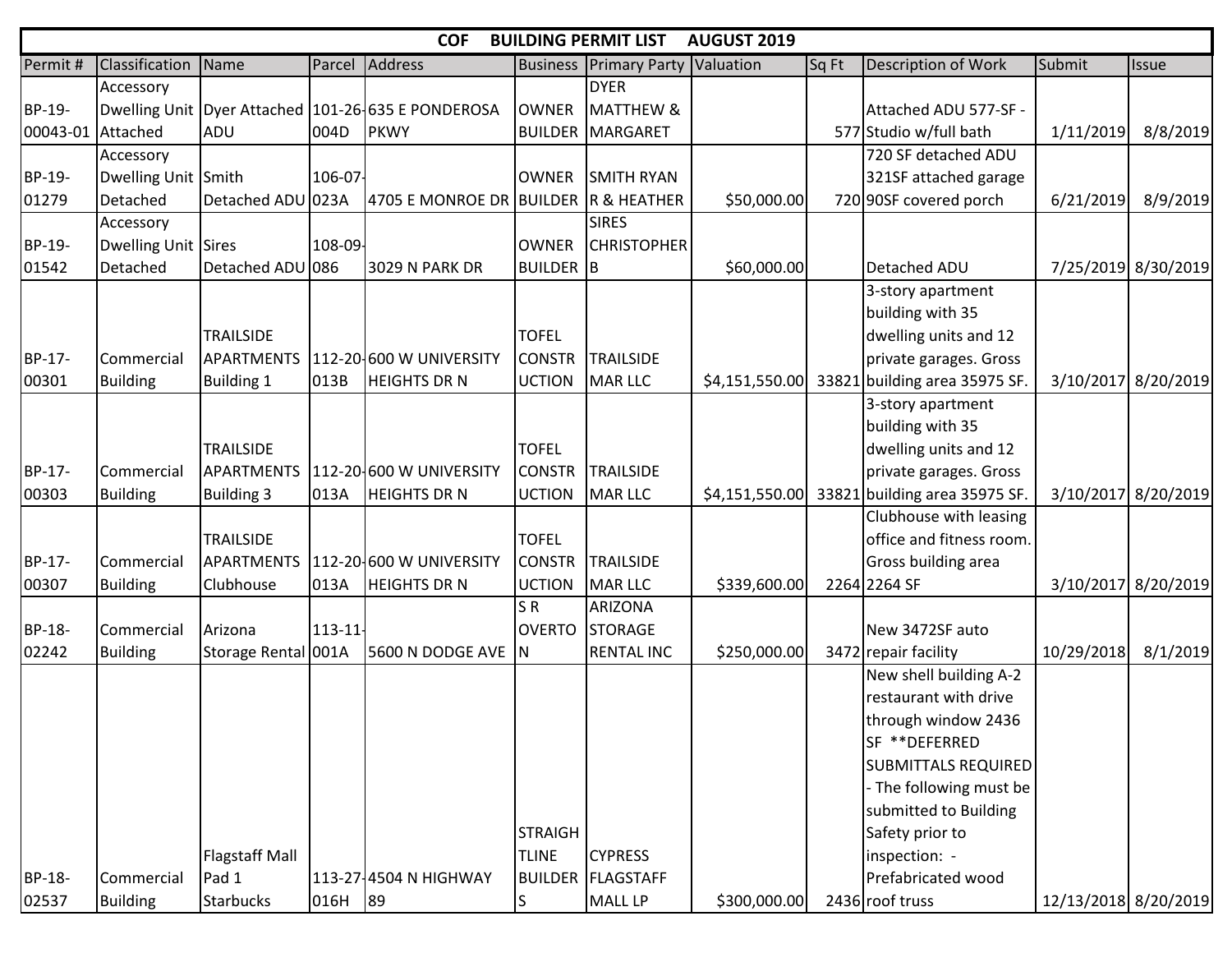|          | <b>COF</b><br><b>AUGUST 2019</b><br><b>BUILDING PERMIT LIST</b> |                       |            |                                                        |                  |                                |                |       |                                              |                      |                     |  |  |  |
|----------|-----------------------------------------------------------------|-----------------------|------------|--------------------------------------------------------|------------------|--------------------------------|----------------|-------|----------------------------------------------|----------------------|---------------------|--|--|--|
| Permit#  | Classification                                                  | Name                  | Parcel     | Address                                                | <b>Business</b>  | <b>Primary Party Valuation</b> |                | Sq Ft | Description of Work                          | Submit               | <b>Issue</b>        |  |  |  |
|          | Accessory                                                       |                       |            |                                                        |                  | <b>DYER</b>                    |                |       |                                              |                      |                     |  |  |  |
| BP-19-   |                                                                 |                       |            | Dwelling Unit   Dyer Attached   101-26 635 E PONDEROSA | <b>I</b> OWNER   | <b>MATTHEW &amp;</b>           |                |       | Attached ADU 577-SF -                        |                      |                     |  |  |  |
| 00043-01 | Attached                                                        | ADU                   | 004D       | PKWY                                                   |                  | <b>BUILDER MARGARET</b>        |                |       | 577 Studio w/full bath                       | 1/11/2019            | 8/8/2019            |  |  |  |
|          | Accessory                                                       |                       |            |                                                        |                  |                                |                |       | 720 SF detached ADU                          |                      |                     |  |  |  |
| BP-19-   | Dwelling Unit Smith                                             |                       | 106-07-    |                                                        | <b>OWNER</b>     | <b>SMITH RYAN</b>              |                |       | 321SF attached garage                        |                      |                     |  |  |  |
| 01279    | Detached                                                        | Detached ADU 023A     |            | 4705 E MONROE DR BUILDER R & HEATHER                   |                  |                                | \$50,000.00    |       | 720 90SF covered porch                       | 6/21/2019            | 8/9/2019            |  |  |  |
|          | Accessory                                                       |                       |            |                                                        |                  | <b>SIRES</b>                   |                |       |                                              |                      |                     |  |  |  |
| BP-19-   | Dwelling Unit Sires                                             |                       | 108-09-    |                                                        | <b>OWNER</b>     | <b>CHRISTOPHER</b>             |                |       |                                              |                      |                     |  |  |  |
| 01542    | Detached                                                        | Detached ADU 086      |            | <b>3029 N PARK DR</b>                                  | <b>BUILDER</b> B |                                | \$60,000.00    |       | Detached ADU                                 |                      | 7/25/2019 8/30/2019 |  |  |  |
|          |                                                                 |                       |            |                                                        |                  |                                |                |       | 3-story apartment                            |                      |                     |  |  |  |
|          |                                                                 |                       |            |                                                        |                  |                                |                |       | building with 35                             |                      |                     |  |  |  |
|          |                                                                 | <b>TRAILSIDE</b>      |            |                                                        | <b>TOFEL</b>     |                                |                |       | dwelling units and 12                        |                      |                     |  |  |  |
| BP-17-   | Commercial                                                      | <b>APARTMENTS</b>     |            | 112-20-600 W UNIVERSITY                                | <b>CONSTR</b>    | <b>TRAILSIDE</b>               |                |       | private garages. Gross                       |                      |                     |  |  |  |
| 00301    | <b>Building</b>                                                 | <b>Building 1</b>     | 013B       | <b>HEIGHTS DR N</b>                                    | <b>UCTION</b>    | MAR LLC                        | \$4,151,550.00 | 33821 | I building area 35975 SF.                    |                      | 3/10/2017 8/20/2019 |  |  |  |
|          |                                                                 |                       |            |                                                        |                  |                                |                |       | 3-story apartment                            |                      |                     |  |  |  |
|          |                                                                 |                       |            |                                                        |                  |                                |                |       | building with 35                             |                      |                     |  |  |  |
|          |                                                                 | <b>TRAILSIDE</b>      |            |                                                        | <b>TOFEL</b>     |                                |                |       | dwelling units and 12                        |                      |                     |  |  |  |
| BP-17-   | Commercial                                                      | <b>APARTMENTS</b>     |            | 112-20-600 W UNIVERSITY                                | <b>CONSTR</b>    | <b>TRAILSIDE</b>               |                |       | private garages. Gross                       |                      |                     |  |  |  |
| 00303    | <b>Building</b>                                                 | <b>Building 3</b>     | 013A       | <b>HEIGHTS DR N</b>                                    | <b>UCTION</b>    | MAR LLC                        |                |       | \$4,151,550.00 33821 building area 35975 SF. |                      | 3/10/2017 8/20/2019 |  |  |  |
|          |                                                                 |                       |            |                                                        |                  |                                |                |       | Clubhouse with leasing                       |                      |                     |  |  |  |
|          |                                                                 | <b>TRAILSIDE</b>      |            |                                                        | <b>TOFEL</b>     |                                |                |       | office and fitness room.                     |                      |                     |  |  |  |
| BP-17-   | Commercial                                                      | <b>APARTMENTS</b>     |            | 112-20-600 W UNIVERSITY                                | <b>CONSTR</b>    | <b>TRAILSIDE</b>               |                |       | Gross building area                          |                      |                     |  |  |  |
| 00307    | <b>Building</b>                                                 | Clubhouse             | 013A       | <b>HEIGHTS DR N</b>                                    | <b>UCTION</b>    | MAR LLC                        | \$339,600.00   |       | 2264 2264 SF                                 |                      | 3/10/2017 8/20/2019 |  |  |  |
|          |                                                                 |                       |            |                                                        | SR               | <b>ARIZONA</b>                 |                |       |                                              |                      |                     |  |  |  |
| BP-18-   | Commercial                                                      | Arizona               | $113 - 11$ |                                                        | <b>OVERTO</b>    | <b>STORAGE</b>                 |                |       | New 3472SF auto                              |                      |                     |  |  |  |
| 02242    | <b>Building</b>                                                 | Storage Rental 001A   |            | 5600 N DODGE AVE N                                     |                  | <b>RENTAL INC</b>              | \$250,000.00   |       | 3472 repair facility                         | 10/29/2018           | 8/1/2019            |  |  |  |
|          |                                                                 |                       |            |                                                        |                  |                                |                |       | New shell building A-2                       |                      |                     |  |  |  |
|          |                                                                 |                       |            |                                                        |                  |                                |                |       | restaurant with drive                        |                      |                     |  |  |  |
|          |                                                                 |                       |            |                                                        |                  |                                |                |       | through window 2436                          |                      |                     |  |  |  |
|          |                                                                 |                       |            |                                                        |                  |                                |                |       | SF **DEFERRED                                |                      |                     |  |  |  |
|          |                                                                 |                       |            |                                                        |                  |                                |                |       | <b>SUBMITTALS REQUIRED</b>                   |                      |                     |  |  |  |
|          |                                                                 |                       |            |                                                        |                  |                                |                |       | - The following must be                      |                      |                     |  |  |  |
|          |                                                                 |                       |            |                                                        |                  |                                |                |       | submitted to Building                        |                      |                     |  |  |  |
|          |                                                                 |                       |            |                                                        | <b>STRAIGH</b>   |                                |                |       | Safety prior to                              |                      |                     |  |  |  |
|          |                                                                 | <b>Flagstaff Mall</b> |            |                                                        | <b>TLINE</b>     | <b>CYPRESS</b>                 |                |       | inspection: -                                |                      |                     |  |  |  |
| BP-18-   | Commercial                                                      | Pad 1                 |            | 113-27-4504 N HIGHWAY                                  |                  | <b>BUILDER FLAGSTAFF</b>       |                |       | Prefabricated wood                           |                      |                     |  |  |  |
| 02537    | <b>Building</b>                                                 | <b>Starbucks</b>      | 016H 89    |                                                        | lS.              | MALL LP                        | \$300,000.00   |       | 2436 roof truss                              | 12/13/2018 8/20/2019 |                     |  |  |  |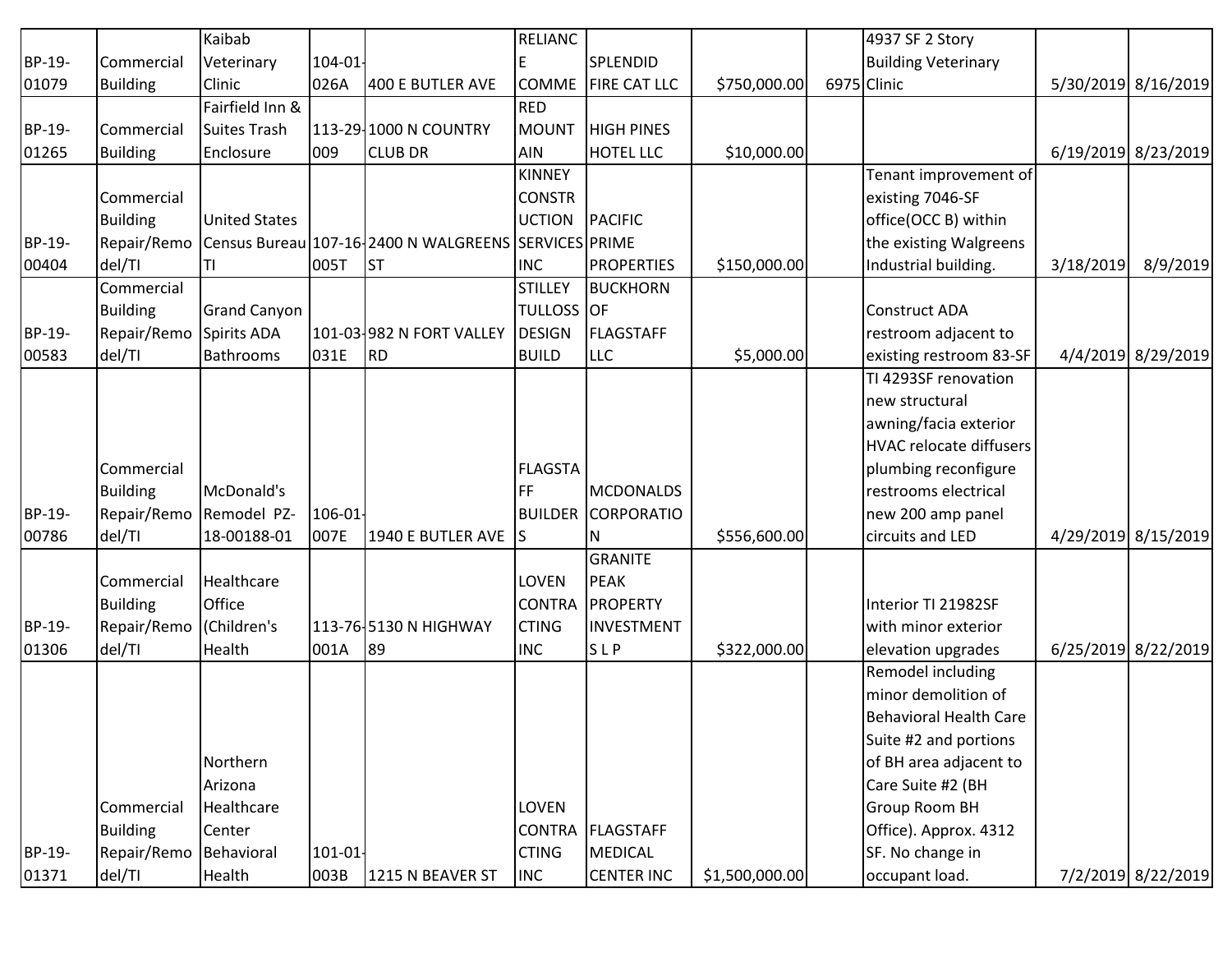|        |                 | Kaibab               |         |                                                      | <b>RELIANC</b>    |                     |                | 4937 SF 2 Story                |           |                     |
|--------|-----------------|----------------------|---------|------------------------------------------------------|-------------------|---------------------|----------------|--------------------------------|-----------|---------------------|
| BP-19- | Commercial      | Veterinary           | 104-01- |                                                      | E                 | SPLENDID            |                | <b>Building Veterinary</b>     |           |                     |
| 01079  | <b>Building</b> | Clinic               | 026A    | 400 E BUTLER AVE                                     | <b>COMME</b>      | <b>FIRE CAT LLC</b> | \$750,000.00   | 6975 Clinic                    |           | 5/30/2019 8/16/2019 |
|        |                 | Fairfield Inn &      |         |                                                      | <b>RED</b>        |                     |                |                                |           |                     |
| BP-19- | Commercial      | <b>Suites Trash</b>  |         | 113-29-1000 N COUNTRY                                | <b>MOUNT</b>      | <b>HIGH PINES</b>   |                |                                |           |                     |
| 01265  | <b>Building</b> | Enclosure            | 009     | <b>CLUB DR</b>                                       | AIN               | <b>HOTEL LLC</b>    | \$10,000.00    |                                |           | 6/19/2019 8/23/2019 |
|        |                 |                      |         |                                                      | <b>KINNEY</b>     |                     |                | Tenant improvement of          |           |                     |
|        | Commercial      |                      |         |                                                      | <b>CONSTR</b>     |                     |                | existing 7046-SF               |           |                     |
|        | <b>Building</b> | <b>United States</b> |         |                                                      | <b>UCTION</b>     | PACIFIC             |                | office(OCC B) within           |           |                     |
| BP-19- | Repair/Remo     |                      |         | Census Bureau 107-16-2400 N WALGREENS SERVICES PRIME |                   |                     |                | the existing Walgreens         |           |                     |
| 00404  | del/TI          | ΤI                   | 005T    | <b>ST</b>                                            | <b>INC</b>        | <b>PROPERTIES</b>   | \$150,000.00   | Industrial building.           | 3/18/2019 | 8/9/2019            |
|        | Commercial      |                      |         |                                                      | <b>STILLEY</b>    | <b>BUCKHORN</b>     |                |                                |           |                     |
|        | <b>Building</b> | <b>Grand Canyon</b>  |         |                                                      | <b>TULLOSS OF</b> |                     |                | Construct ADA                  |           |                     |
| BP-19- | Repair/Remo     | Spirits ADA          |         | 101-03 982 N FORT VALLEY                             | DESIGN            | FLAGSTAFF           |                | restroom adjacent to           |           |                     |
| 00583  | del/TI          | Bathrooms            | 031E    | <b>RD</b>                                            | <b>BUILD</b>      | <b>LLC</b>          | \$5,000.00     | existing restroom 83-SF        |           | 4/4/2019 8/29/2019  |
|        |                 |                      |         |                                                      |                   |                     |                | TI 4293SF renovation           |           |                     |
|        |                 |                      |         |                                                      |                   |                     |                | new structural                 |           |                     |
|        |                 |                      |         |                                                      |                   |                     |                | awning/facia exterior          |           |                     |
|        |                 |                      |         |                                                      |                   |                     |                | <b>HVAC relocate diffusers</b> |           |                     |
|        | Commercial      |                      |         |                                                      | <b>FLAGSTA</b>    |                     |                | plumbing reconfigure           |           |                     |
|        | <b>Building</b> | McDonald's           |         |                                                      | <b>FF</b>         | MCDONALDS           |                | restrooms electrical           |           |                     |
| BP-19- | Repair/Remo     | Remodel PZ-          | 106-01- |                                                      | <b>BUILDER</b>    | CORPORATIO          |                | new 200 amp panel              |           |                     |
| 00786  | del/TI          | 18-00188-01          | 007E    | 1940 E BUTLER AVE S                                  |                   | N                   | \$556,600.00   | circuits and LED               |           | 4/29/2019 8/15/2019 |
|        |                 |                      |         |                                                      |                   | <b>GRANITE</b>      |                |                                |           |                     |
|        | Commercial      | Healthcare           |         |                                                      | <b>LOVEN</b>      | PEAK                |                |                                |           |                     |
|        | <b>Building</b> | Office               |         |                                                      | <b>CONTRA</b>     | PROPERTY            |                | Interior TI 21982SF            |           |                     |
| BP-19- | Repair/Remo     | (Children's          |         | 113-76-5130 N HIGHWAY                                | <b>CTING</b>      | <b>INVESTMENT</b>   |                | with minor exterior            |           |                     |
| 01306  | del/TI          | Health               | 001A    | 89                                                   | <b>INC</b>        | SLP                 | \$322,000.00   | elevation upgrades             |           | 6/25/2019 8/22/2019 |
|        |                 |                      |         |                                                      |                   |                     |                | Remodel including              |           |                     |
|        |                 |                      |         |                                                      |                   |                     |                | minor demolition of            |           |                     |
|        |                 |                      |         |                                                      |                   |                     |                | <b>Behavioral Health Care</b>  |           |                     |
|        |                 |                      |         |                                                      |                   |                     |                | Suite #2 and portions          |           |                     |
|        |                 | Northern             |         |                                                      |                   |                     |                | of BH area adjacent to         |           |                     |
|        |                 | Arizona              |         |                                                      |                   |                     |                | Care Suite #2 (BH              |           |                     |
|        | Commercial      | Healthcare           |         |                                                      | <b>LOVEN</b>      |                     |                | Group Room BH                  |           |                     |
|        | <b>Building</b> | Center               |         |                                                      |                   | CONTRA FLAGSTAFF    |                | Office). Approx. 4312          |           |                     |
| BP-19- | Repair/Remo     | Behavioral           | 101-01- |                                                      | <b>CTING</b>      | MEDICAL             |                | SF. No change in               |           |                     |
| 01371  | del/TI          | Health               | 003B    | 1215 N BEAVER ST                                     | <b>INC</b>        | <b>CENTER INC</b>   | \$1,500,000.00 | occupant load.                 |           | 7/2/2019 8/22/2019  |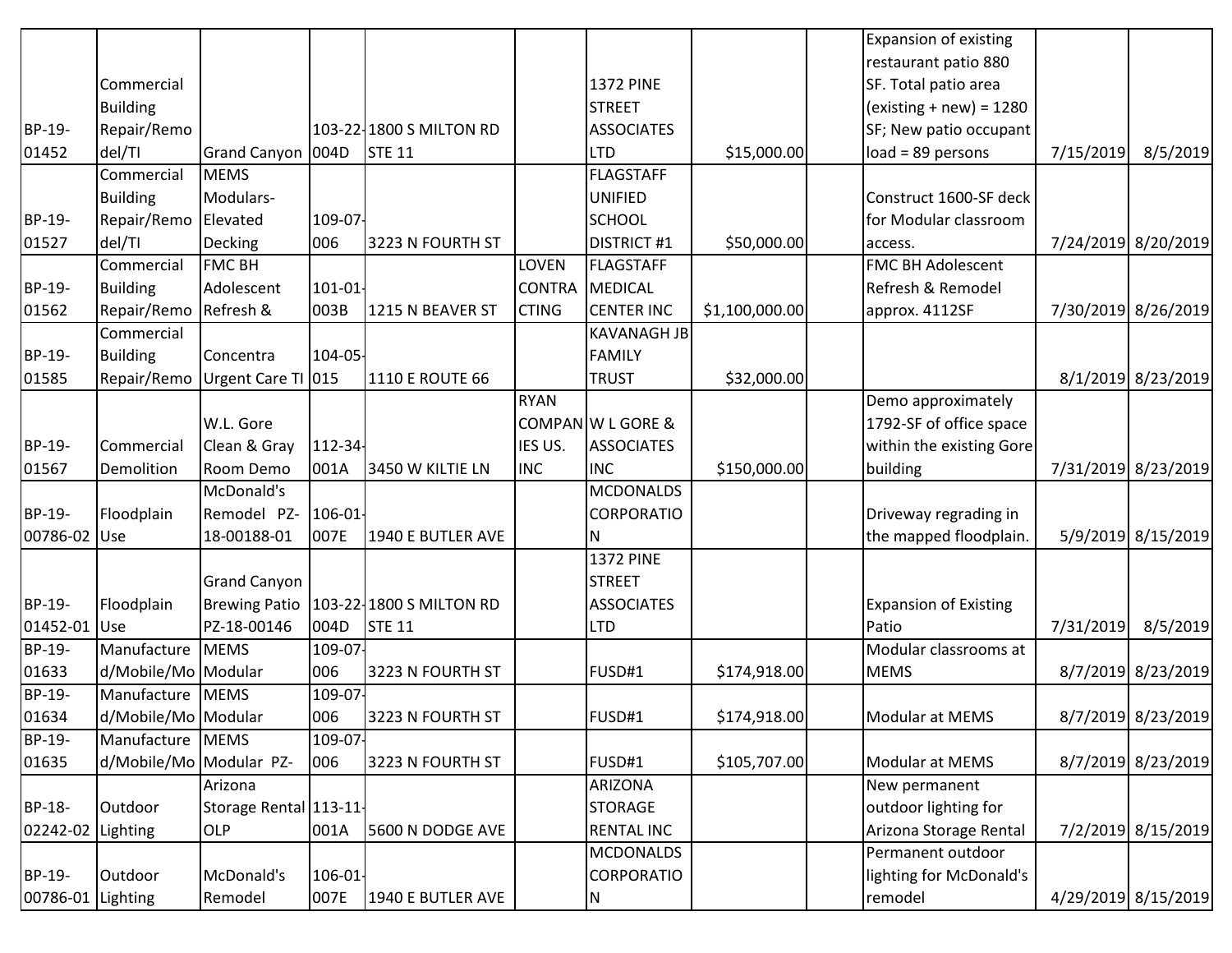|               |                         |                        |            |                                         |               |                    |                | <b>Expansion of existing</b> |           |                     |
|---------------|-------------------------|------------------------|------------|-----------------------------------------|---------------|--------------------|----------------|------------------------------|-----------|---------------------|
|               |                         |                        |            |                                         |               |                    |                | restaurant patio 880         |           |                     |
|               | Commercial              |                        |            |                                         |               | <b>1372 PINE</b>   |                | SF. Total patio area         |           |                     |
|               | <b>Building</b>         |                        |            |                                         |               | <b>STREET</b>      |                | $(existing + new) = 1280$    |           |                     |
| BP-19-        | Repair/Remo             |                        |            | 103-22-1800 S MILTON RD                 |               | <b>ASSOCIATES</b>  |                | SF; New patio occupant       |           |                     |
| 01452         | del/TI                  | Grand Canyon 004D      |            | <b>STE 11</b>                           |               | <b>LTD</b>         | \$15,000.00    | $load = 89$ persons          | 7/15/2019 | 8/5/2019            |
|               | Commercial              | <b>MEMS</b>            |            |                                         |               | FLAGSTAFF          |                |                              |           |                     |
|               | <b>Building</b>         | Modulars-              |            |                                         |               | <b>UNIFIED</b>     |                | Construct 1600-SF deck       |           |                     |
| BP-19-        | Repair/Remo             | Elevated               | 109-07     |                                         |               | <b>SCHOOL</b>      |                | for Modular classroom        |           |                     |
| 01527         | del/TI                  | Decking                | 006        | 3223 N FOURTH ST                        |               | <b>DISTRICT #1</b> | \$50,000.00    | access.                      |           | 7/24/2019 8/20/2019 |
|               | Commercial              | <b>FMC BH</b>          |            |                                         | LOVEN         | FLAGSTAFF          |                | <b>FMC BH Adolescent</b>     |           |                     |
| BP-19-        | <b>Building</b>         | Adolescent             | $101 - 01$ |                                         | <b>CONTRA</b> | MEDICAL            |                | Refresh & Remodel            |           |                     |
| 01562         | Repair/Remo             | Refresh &              | 003B       | 1215 N BEAVER ST                        | <b>CTING</b>  | <b>CENTER INC</b>  | \$1,100,000.00 | approx. 4112SF               |           | 7/30/2019 8/26/2019 |
|               | Commercial              |                        |            |                                         |               | <b>KAVANAGH JB</b> |                |                              |           |                     |
| BP-19-        | <b>Building</b>         | Concentra              | 104-05-    |                                         |               | <b>FAMILY</b>      |                |                              |           |                     |
| 01585         | Repair/Remo             | Urgent Care TI 015     |            | 1110 E ROUTE 66                         |               | <b>TRUST</b>       | \$32,000.00    |                              |           | 8/1/2019 8/23/2019  |
|               |                         |                        |            |                                         | <b>RYAN</b>   |                    |                | Demo approximately           |           |                     |
|               |                         | W.L. Gore              |            |                                         |               | COMPAN W L GORE &  |                | 1792-SF of office space      |           |                     |
| BP-19-        | Commercial              | Clean & Gray           | 112-34     |                                         | IES US.       | <b>ASSOCIATES</b>  |                | within the existing Gore     |           |                     |
| 01567         | Demolition              | Room Demo              | 001A       | 3450 W KILTIE LN                        | <b>INC</b>    | <b>INC</b>         | \$150,000.00   | building                     |           | 7/31/2019 8/23/2019 |
|               |                         | McDonald's             |            |                                         |               | <b>MCDONALDS</b>   |                |                              |           |                     |
| BP-19-        | Floodplain              | Remodel PZ- 106-01-    |            |                                         |               | <b>CORPORATIO</b>  |                | Driveway regrading in        |           |                     |
| 00786-02 Use  |                         | 18-00188-01            | 007E       | 1940 E BUTLER AVE                       |               | N                  |                | the mapped floodplain.       |           | 5/9/2019 8/15/2019  |
|               |                         |                        |            |                                         |               | <b>1372 PINE</b>   |                |                              |           |                     |
|               |                         | <b>Grand Canyon</b>    |            |                                         |               | <b>STREET</b>      |                |                              |           |                     |
| BP-19-        | Floodplain              |                        |            | Brewing Patio   103-22 1800 S MILTON RD |               | <b>ASSOCIATES</b>  |                | <b>Expansion of Existing</b> |           |                     |
| 01452-01      | Use                     | PZ-18-00146            | 004D       | <b>STE 11</b>                           |               | <b>LTD</b>         |                | Patio                        | 7/31/2019 | 8/5/2019            |
| <b>BP-19-</b> | Manufacture             | <b>MEMS</b>            | 109-07     |                                         |               |                    |                | Modular classrooms at        |           |                     |
| 01633         | d/Mobile/Mo Modular     |                        | 006        | 3223 N FOURTH ST                        |               | FUSD#1             | \$174,918.00   | <b>MEMS</b>                  |           | 8/7/2019 8/23/2019  |
| <b>BP-19-</b> | Manufacture             | <b>MEMS</b>            | 109-07     |                                         |               |                    |                |                              |           |                     |
| 01634         | d/Mobile/Mo Modular     |                        | 006        | 3223 N FOURTH ST                        |               | FUSD#1             | \$174,918.00   | Modular at MEMS              |           | 8/7/2019 8/23/2019  |
| <b>BP-19-</b> | Manufacture             | <b>MEMS</b>            | 109-07-    |                                         |               |                    |                |                              |           |                     |
| 01635         | d/Mobile/Mo Modular PZ- |                        | 006        | 3223 N FOURTH ST                        |               | FUSD#1             | \$105,707.00   | Modular at MEMS              |           | 8/7/2019 8/23/2019  |
|               |                         | Arizona                |            |                                         |               | <b>ARIZONA</b>     |                | New permanent                |           |                     |
| BP-18-        | Outdoor                 | Storage Rental 113-11- |            |                                         |               | <b>STORAGE</b>     |                | outdoor lighting for         |           |                     |
| 02242-02      | Lighting                | <b>OLP</b>             | 001A       | 5600 N DODGE AVE                        |               | <b>RENTAL INC</b>  |                | Arizona Storage Rental       |           | 7/2/2019 8/15/2019  |
|               |                         |                        |            |                                         |               | <b>MCDONALDS</b>   |                | Permanent outdoor            |           |                     |
| BP-19-        | Outdoor                 | McDonald's             | $106 - 01$ |                                         |               | CORPORATIO         |                | lighting for McDonald's      |           |                     |
| 00786-01      | Lighting                | Remodel                | 007E       | 1940 E BUTLER AVE                       |               | N.                 |                | remodel                      |           | 4/29/2019 8/15/2019 |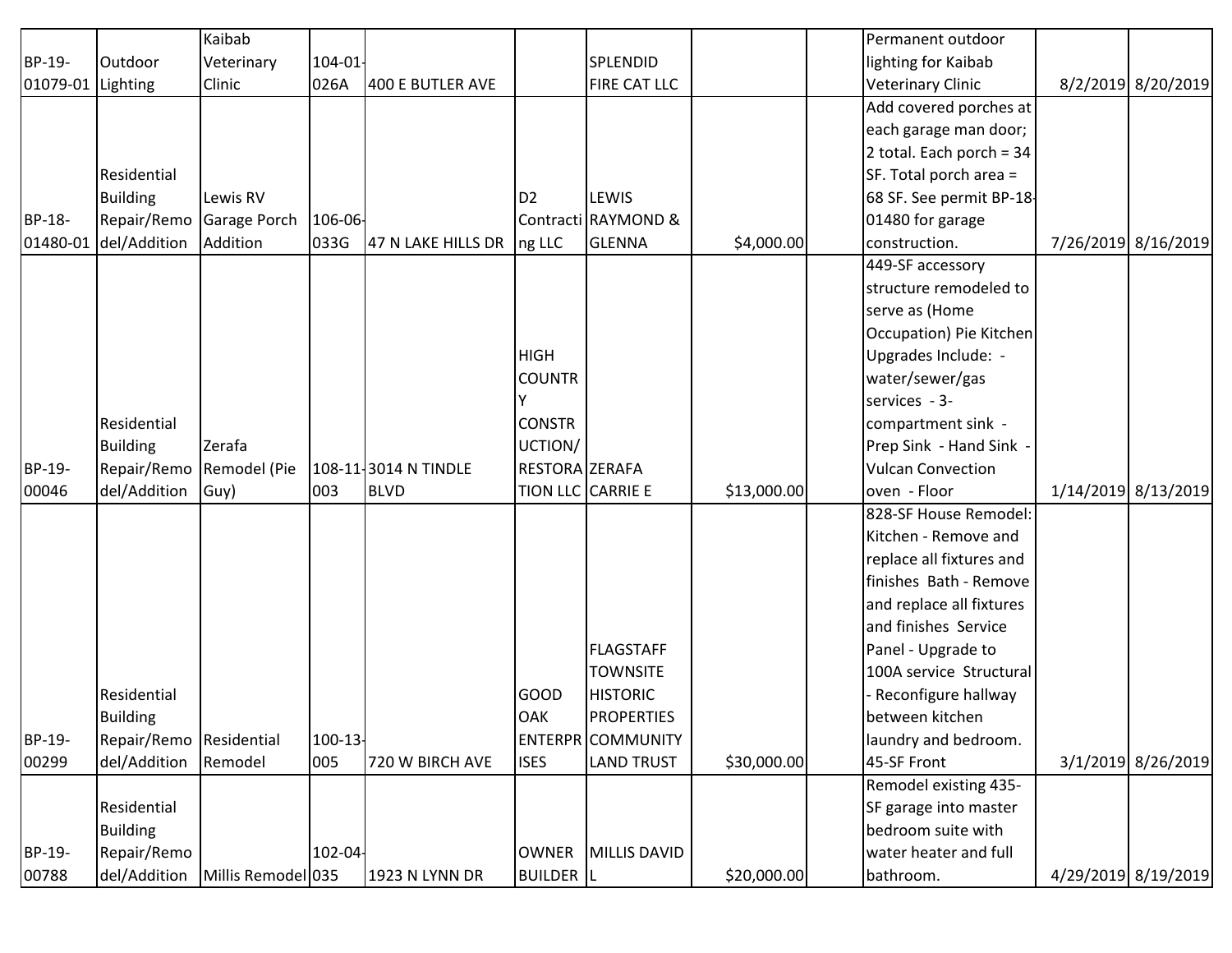|          |                          | Kaibab                            |            |                       |                  |                          |             | Permanent outdoor        |                     |
|----------|--------------------------|-----------------------------------|------------|-----------------------|------------------|--------------------------|-------------|--------------------------|---------------------|
| BP-19-   | Outdoor                  | Veterinary                        | $104 - 01$ |                       |                  | SPLENDID                 |             | lighting for Kaibab      |                     |
| 01079-01 | Lighting                 | Clinic                            | 026A       | 400 E BUTLER AVE      |                  | FIRE CAT LLC             |             | <b>Veterinary Clinic</b> | 8/2/2019 8/20/2019  |
|          |                          |                                   |            |                       |                  |                          |             | Add covered porches at   |                     |
|          |                          |                                   |            |                       |                  |                          |             | each garage man door;    |                     |
|          |                          |                                   |            |                       |                  |                          |             | 2 total. Each porch = 34 |                     |
|          | Residential              |                                   |            |                       |                  |                          |             | SF. Total porch area =   |                     |
|          | <b>Building</b>          | Lewis RV                          |            |                       | D <sub>2</sub>   | LEWIS                    |             | 68 SF. See permit BP-18- |                     |
| BP-18-   |                          | Repair/Remo Garage Porch          | 106-06-    |                       |                  | Contracti RAYMOND &      |             | 01480 for garage         |                     |
| 01480-01 | del/Addition             | Addition                          | 033G       | 47 N LAKE HILLS DR    | ng LLC           | GLENNA                   | \$4,000.00  | construction.            | 7/26/2019 8/16/2019 |
|          |                          |                                   |            |                       |                  |                          |             | 449-SF accessory         |                     |
|          |                          |                                   |            |                       |                  |                          |             | structure remodeled to   |                     |
|          |                          |                                   |            |                       |                  |                          |             | serve as (Home           |                     |
|          |                          |                                   |            |                       |                  |                          |             | Occupation) Pie Kitchen  |                     |
|          |                          |                                   |            |                       | <b>HIGH</b>      |                          |             | Upgrades Include: -      |                     |
|          |                          |                                   |            |                       | <b>COUNTR</b>    |                          |             | water/sewer/gas          |                     |
|          |                          |                                   |            |                       |                  |                          |             | services - 3-            |                     |
|          | <b>Residential</b>       |                                   |            |                       | <b>CONSTR</b>    |                          |             | compartment sink -       |                     |
|          | <b>Building</b>          | Zerafa                            |            |                       | UCTION/          |                          |             | Prep Sink - Hand Sink -  |                     |
| BP-19-   | Repair/Remo Remodel (Pie |                                   |            | 108-11-3014 N TINDLE  | RESTORA ZERAFA   |                          |             | <b>Vulcan Convection</b> |                     |
| 00046    | del/Addition             | Guy)                              | 003        | <b>BLVD</b>           |                  | TION LLC CARRIE E        | \$13,000.00 | oven - Floor             | 1/14/2019 8/13/2019 |
|          |                          |                                   |            |                       |                  |                          |             | 828-SF House Remodel:    |                     |
|          |                          |                                   |            |                       |                  |                          |             | Kitchen - Remove and     |                     |
|          |                          |                                   |            |                       |                  |                          |             | replace all fixtures and |                     |
|          |                          |                                   |            |                       |                  |                          |             | finishes Bath - Remove   |                     |
|          |                          |                                   |            |                       |                  |                          |             | and replace all fixtures |                     |
|          |                          |                                   |            |                       |                  |                          |             | and finishes Service     |                     |
|          |                          |                                   |            |                       |                  | <b>FLAGSTAFF</b>         |             | Panel - Upgrade to       |                     |
|          |                          |                                   |            |                       |                  | <b>TOWNSITE</b>          |             | 100A service Structural  |                     |
|          | Residential              |                                   |            |                       | <b>GOOD</b>      | <b>HISTORIC</b>          |             | - Reconfigure hallway    |                     |
|          | Building                 |                                   |            |                       | <b>OAK</b>       | <b>PROPERTIES</b>        |             | between kitchen          |                     |
| BP-19-   | Repair/Remo Residential  |                                   | 100-13-    |                       |                  | <b>ENTERPR</b> COMMUNITY |             | laundry and bedroom.     |                     |
| 00299    | del/Addition             | Remodel                           | 005        | 720 W BIRCH AVE       | <b>ISES</b>      | <b>LAND TRUST</b>        | \$30,000.00 | 45-SF Front              | 3/1/2019 8/26/2019  |
|          |                          |                                   |            |                       |                  |                          |             | Remodel existing 435-    |                     |
|          | Residential              |                                   |            |                       |                  |                          |             | SF garage into master    |                     |
|          | <b>Building</b>          |                                   |            |                       |                  |                          |             | bedroom suite with       |                     |
| BP-19-   | Repair/Remo              |                                   | 102-04-    |                       |                  | OWNER MILLIS DAVID       |             | water heater and full    |                     |
| 00788    |                          | del/Addition   Millis Remodel 035 |            | <b>1923 N LYNN DR</b> | <b>BUILDER</b> L |                          | \$20,000.00 | bathroom.                | 4/29/2019 8/19/2019 |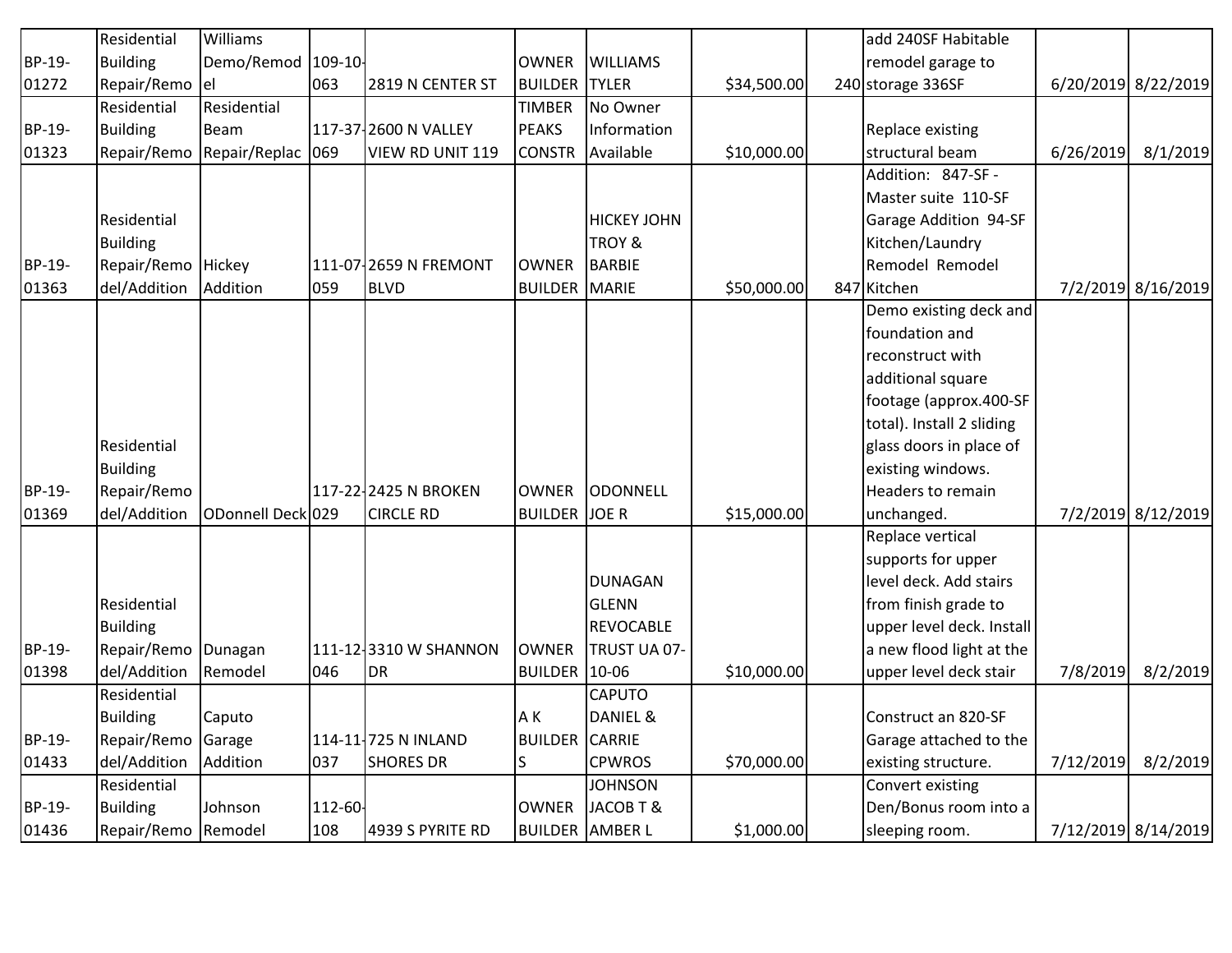|        | Residential         | <b>Williams</b>   |         |                       |                |                    |             | add 240SF Habitable       |           |                     |
|--------|---------------------|-------------------|---------|-----------------------|----------------|--------------------|-------------|---------------------------|-----------|---------------------|
| BP-19- | <b>Building</b>     | Demo/Remod        | 109-10- |                       | <b>OWNER</b>   | <b>WILLIAMS</b>    |             | remodel garage to         |           |                     |
| 01272  | Repair/Remo         | lel               | 063     | 2819 N CENTER ST      | <b>BUILDER</b> | <b>TYLER</b>       | \$34,500.00 | 240 storage 336SF         |           | 6/20/2019 8/22/2019 |
|        | Residential         | Residential       |         |                       | <b>TIMBER</b>  | No Owner           |             |                           |           |                     |
| BP-19- | <b>Building</b>     | <b>Beam</b>       |         | 117-37-2600 N VALLEY  | PEAKS          | Information        |             | Replace existing          |           |                     |
| 01323  | Repair/Remo         | Repair/Replac     | 069     | VIEW RD UNIT 119      | <b>CONSTR</b>  | Available          | \$10,000.00 | structural beam           | 6/26/2019 | 8/1/2019            |
|        |                     |                   |         |                       |                |                    |             | Addition: 847-SF -        |           |                     |
|        |                     |                   |         |                       |                |                    |             | Master suite 110-SF       |           |                     |
|        | Residential         |                   |         |                       |                | <b>HICKEY JOHN</b> |             | Garage Addition 94-SF     |           |                     |
|        | <b>Building</b>     |                   |         |                       |                | TROY &             |             | Kitchen/Laundry           |           |                     |
| BP-19- | Repair/Remo Hickey  |                   |         | 111-07-2659 N FREMONT | <b>OWNER</b>   | <b>BARBIE</b>      |             | Remodel Remodel           |           |                     |
| 01363  | del/Addition        | Addition          | 059     | <b>BLVD</b>           | <b>BUILDER</b> | MARIE              | \$50,000.00 | 847 Kitchen               |           | 7/2/2019 8/16/2019  |
|        |                     |                   |         |                       |                |                    |             | Demo existing deck and    |           |                     |
|        |                     |                   |         |                       |                |                    |             | foundation and            |           |                     |
|        |                     |                   |         |                       |                |                    |             | reconstruct with          |           |                     |
|        |                     |                   |         |                       |                |                    |             | additional square         |           |                     |
|        |                     |                   |         |                       |                |                    |             | footage (approx.400-SF    |           |                     |
|        |                     |                   |         |                       |                |                    |             | total). Install 2 sliding |           |                     |
|        | Residential         |                   |         |                       |                |                    |             | glass doors in place of   |           |                     |
|        | <b>Building</b>     |                   |         |                       |                |                    |             | existing windows.         |           |                     |
| BP-19- | Repair/Remo         |                   |         | 117-22-2425 N BROKEN  | <b>OWNER</b>   | ODONNELL           |             | Headers to remain         |           |                     |
| 01369  | del/Addition        | ODonnell Deck 029 |         | <b>CIRCLE RD</b>      | <b>BUILDER</b> | JOE R              | \$15,000.00 | unchanged.                |           | 7/2/2019 8/12/2019  |
|        |                     |                   |         |                       |                |                    |             | Replace vertical          |           |                     |
|        |                     |                   |         |                       |                |                    |             | supports for upper        |           |                     |
|        |                     |                   |         |                       |                | <b>DUNAGAN</b>     |             | level deck. Add stairs    |           |                     |
|        | Residential         |                   |         |                       |                | <b>GLENN</b>       |             | from finish grade to      |           |                     |
|        | <b>Building</b>     |                   |         |                       |                | <b>REVOCABLE</b>   |             | upper level deck. Install |           |                     |
| BP-19- | Repair/Remo Dunagan |                   |         | 111-12-3310 W SHANNON | <b>OWNER</b>   | TRUST UA 07-       |             | a new flood light at the  |           |                     |
| 01398  | del/Addition        | Remodel           | 046     | <b>DR</b>             | <b>BUILDER</b> | $10-06$            | \$10,000.00 | upper level deck stair    | 7/8/2019  | 8/2/2019            |
|        | Residential         |                   |         |                       |                | CAPUTO             |             |                           |           |                     |
|        | <b>Building</b>     | Caputo            |         |                       | A K            | DANIEL &           |             | Construct an 820-SF       |           |                     |
| BP-19- | Repair/Remo         | Garage            |         | 114-11-725 N INLAND   | <b>BUILDER</b> | <b>CARRIE</b>      |             | Garage attached to the    |           |                     |
| 01433  | del/Addition        | Addition          | 037     | <b>SHORES DR</b>      | ls.            | <b>CPWROS</b>      | \$70,000.00 | existing structure.       | 7/12/2019 | 8/2/2019            |
|        | Residential         |                   |         |                       |                | <b>JOHNSON</b>     |             | Convert existing          |           |                     |
| BP-19- | <b>Building</b>     | Johnson           | 112-60- |                       | <b>OWNER</b>   | JACOB T &          |             | Den/Bonus room into a     |           |                     |
| 01436  | Repair/Remo Remodel |                   | 108     | 4939 S PYRITE RD      |                | BUILDER AMBER L    | \$1,000.00  | sleeping room.            |           | 7/12/2019 8/14/2019 |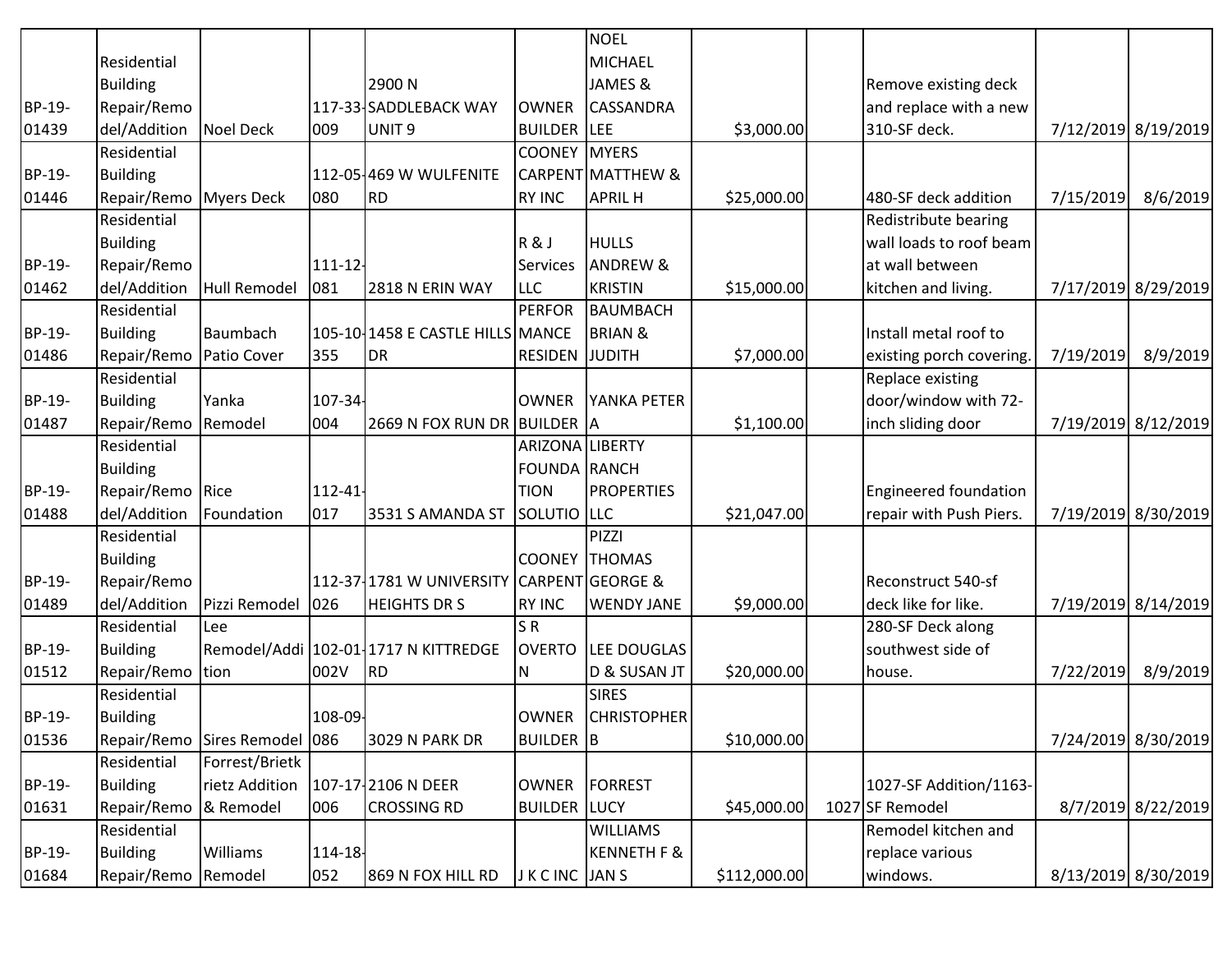|        |                           |                               |         |                                           |                       | <b>NOEL</b>                  |              |                              |           |                     |
|--------|---------------------------|-------------------------------|---------|-------------------------------------------|-----------------------|------------------------------|--------------|------------------------------|-----------|---------------------|
|        | Residential               |                               |         |                                           |                       | <b>MICHAEL</b>               |              |                              |           |                     |
|        | <b>Building</b>           |                               |         | 2900N                                     |                       | JAMES &                      |              | Remove existing deck         |           |                     |
| BP-19- | Repair/Remo               |                               |         | 117-33-SADDLEBACK WAY                     | <b>OWNER</b>          | <b>CASSANDRA</b>             |              | and replace with a new       |           |                     |
| 01439  | del/Addition              | Noel Deck                     | 009     | UNIT <sub>9</sub>                         | <b>BUILDER</b> LEE    |                              | \$3,000.00   | 310-SF deck.                 |           | 7/12/2019 8/19/2019 |
|        | Residential               |                               |         |                                           | <b>COONEY</b>         | <b>MYERS</b>                 |              |                              |           |                     |
| BP-19- | <b>Building</b>           |                               |         | 112-05-469 W WULFENITE                    |                       | <b>CARPENT MATTHEW &amp;</b> |              |                              |           |                     |
| 01446  | Repair/Remo Myers Deck    |                               | 080     | <b>RD</b>                                 | <b>RY INC</b>         | <b>APRIL H</b>               | \$25,000.00  | 480-SF deck addition         | 7/15/2019 | 8/6/2019            |
|        | Residential               |                               |         |                                           |                       |                              |              | Redistribute bearing         |           |                     |
|        | <b>Building</b>           |                               |         |                                           | R&J                   | <b>HULLS</b>                 |              | wall loads to roof beam      |           |                     |
| BP-19- | Repair/Remo               |                               | 111-12  |                                           | Services              | <b>ANDREW &amp;</b>          |              | at wall between              |           |                     |
| 01462  | del/Addition              | Hull Remodel                  | 081     | 2818 N ERIN WAY                           | <b>LLC</b>            | <b>KRISTIN</b>               | \$15,000.00  | kitchen and living.          |           | 7/17/2019 8/29/2019 |
|        | Residential               |                               |         |                                           | <b>PERFOR</b>         | <b>BAUMBACH</b>              |              |                              |           |                     |
| BP-19- | <b>Building</b>           | Baumbach                      |         | 105-10 1458 E CASTLE HILLS MANCE          |                       | <b>BRIAN &amp;</b>           |              | Install metal roof to        |           |                     |
| 01486  | Repair/Remo   Patio Cover |                               | 355     | <b>DR</b>                                 | <b>RESIDEN JUDITH</b> |                              | \$7,000.00   | existing porch covering.     | 7/19/2019 | 8/9/2019            |
|        | Residential               |                               |         |                                           |                       |                              |              | Replace existing             |           |                     |
| BP-19- | <b>Building</b>           | Yanka                         | 107-34  |                                           | <b>OWNER</b>          | YANKA PETER                  |              | door/window with 72-         |           |                     |
| 01487  | Repair/Remo               | Remodel                       | 004     | 2669 N FOX RUN DR BUILDER A               |                       |                              | \$1,100.00   | inch sliding door            |           | 7/19/2019 8/12/2019 |
|        | Residential               |                               |         |                                           | ARIZONA LIBERTY       |                              |              |                              |           |                     |
|        | <b>Building</b>           |                               |         |                                           | <b>FOUNDA RANCH</b>   |                              |              |                              |           |                     |
| BP-19- | Repair/Remo Rice          |                               | 112-41- |                                           | <b>TION</b>           | <b>PROPERTIES</b>            |              | <b>Engineered foundation</b> |           |                     |
| 01488  | del/Addition              | Foundation                    | 017     | 3531 S AMANDA ST                          | SOLUTIO LLC           |                              | \$21,047.00  | repair with Push Piers.      |           | 7/19/2019 8/30/2019 |
|        | Residential               |                               |         |                                           |                       | PIZZI                        |              |                              |           |                     |
|        | <b>Building</b>           |                               |         |                                           |                       | <b>COONEY THOMAS</b>         |              |                              |           |                     |
| BP-19- | Repair/Remo               |                               |         | 112-37 1781 W UNIVERSITY CARPENT GEORGE & |                       |                              |              | Reconstruct 540-sf           |           |                     |
| 01489  | del/Addition              | Pizzi Remodel                 | 026     | <b>HEIGHTS DR S</b>                       | <b>RY INC</b>         | <b>WENDY JANE</b>            | \$9,000.00   | deck like for like.          |           | 7/19/2019 8/14/2019 |
|        | Residential               | Lee                           |         |                                           | SR                    |                              |              | 280-SF Deck along            |           |                     |
| BP-19- | <b>Building</b>           |                               |         | Remodel/Addi 102-01 1717 N KITTREDGE      | <b>OVERTO</b>         | LEE DOUGLAS                  |              | southwest side of            |           |                     |
| 01512  | Repair/Remo tion          |                               | 002V    | <b>RD</b>                                 | N                     | D & SUSAN JT                 | \$20,000.00  | house.                       | 7/22/2019 | 8/9/2019            |
|        | Residential               |                               |         |                                           |                       | <b>SIRES</b>                 |              |                              |           |                     |
| BP-19- | <b>Building</b>           |                               | 108-09- |                                           | <b>OWNER</b>          | <b>CHRISTOPHER</b>           |              |                              |           |                     |
| 01536  |                           | Repair/Remo Sires Remodel 086 |         | 3029 N PARK DR                            | <b>BUILDER</b> B      |                              | \$10,000.00  |                              |           | 7/24/2019 8/30/2019 |
|        | Residential               | Forrest/Brietk                |         |                                           |                       |                              |              |                              |           |                     |
| BP-19- | <b>Building</b>           | rietz Addition                |         | 107-17-2106 N DEER                        | <b>OWNER</b>          | FORREST                      |              | 1027-SF Addition/1163-       |           |                     |
| 01631  | Repair/Remo               | & Remodel                     | 006     | <b>CROSSING RD</b>                        | <b>BUILDER LUCY</b>   |                              | \$45,000.00  | 1027 SF Remodel              |           | 8/7/2019 8/22/2019  |
|        | Residential               |                               |         |                                           |                       | <b>WILLIAMS</b>              |              | Remodel kitchen and          |           |                     |
| BP-19- | <b>Building</b>           | Williams                      | 114-18- |                                           |                       | <b>KENNETH F &amp;</b>       |              | replace various              |           |                     |
| 01684  | Repair/Remo Remodel       |                               | 052     | 869 N FOX HILL RD                         | J K C INC JAN S       |                              | \$112,000.00 | windows.                     |           | 8/13/2019 8/30/2019 |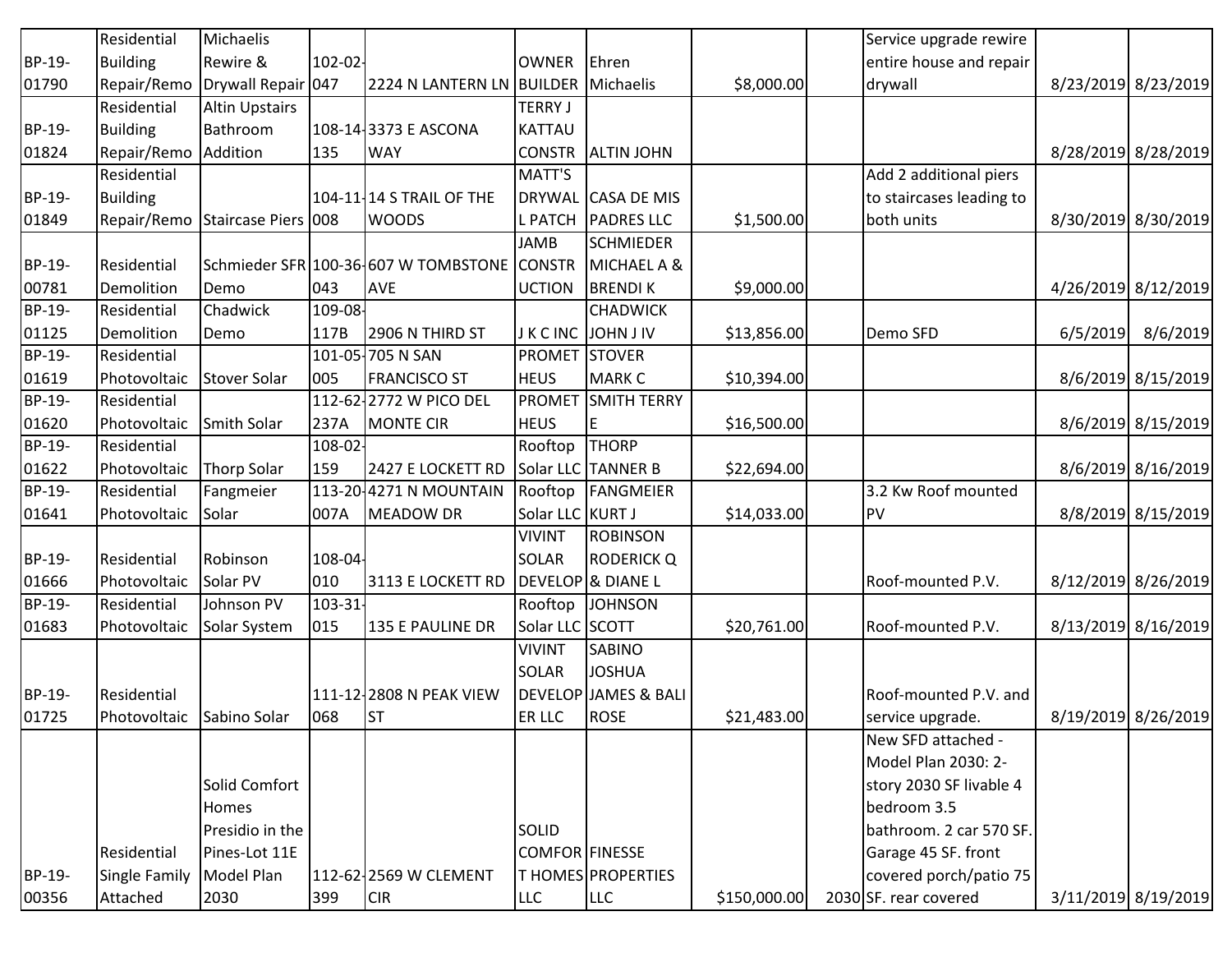| <b>Residential</b> | Michaelis             |              |                                           |                                                                                                                                                                                                                                                                         |                                                        |                                                                                                                                                                                                                                                                                                                                                      |                          |                                                                                                                                                                                                                                                                                                                                                                 |                     |
|--------------------|-----------------------|--------------|-------------------------------------------|-------------------------------------------------------------------------------------------------------------------------------------------------------------------------------------------------------------------------------------------------------------------------|--------------------------------------------------------|------------------------------------------------------------------------------------------------------------------------------------------------------------------------------------------------------------------------------------------------------------------------------------------------------------------------------------------------------|--------------------------|-----------------------------------------------------------------------------------------------------------------------------------------------------------------------------------------------------------------------------------------------------------------------------------------------------------------------------------------------------------------|---------------------|
| <b>Building</b>    | Rewire &              |              |                                           | <b>OWNER</b>                                                                                                                                                                                                                                                            |                                                        |                                                                                                                                                                                                                                                                                                                                                      | entire house and repair  |                                                                                                                                                                                                                                                                                                                                                                 |                     |
| Repair/Remo        |                       |              |                                           |                                                                                                                                                                                                                                                                         |                                                        | \$8,000.00                                                                                                                                                                                                                                                                                                                                           |                          |                                                                                                                                                                                                                                                                                                                                                                 | 8/23/2019 8/23/2019 |
| Residential        | <b>Altin Upstairs</b> |              |                                           | <b>TERRY J</b>                                                                                                                                                                                                                                                          |                                                        |                                                                                                                                                                                                                                                                                                                                                      |                          |                                                                                                                                                                                                                                                                                                                                                                 |                     |
| <b>Building</b>    | Bathroom              |              |                                           | <b>KATTAU</b>                                                                                                                                                                                                                                                           |                                                        |                                                                                                                                                                                                                                                                                                                                                      |                          |                                                                                                                                                                                                                                                                                                                                                                 |                     |
| Repair/Remo        | Addition              | 135          | <b>WAY</b>                                |                                                                                                                                                                                                                                                                         |                                                        |                                                                                                                                                                                                                                                                                                                                                      |                          |                                                                                                                                                                                                                                                                                                                                                                 | 8/28/2019 8/28/2019 |
| Residential        |                       |              |                                           | MATT'S                                                                                                                                                                                                                                                                  |                                                        |                                                                                                                                                                                                                                                                                                                                                      | Add 2 additional piers   |                                                                                                                                                                                                                                                                                                                                                                 |                     |
| <b>Building</b>    |                       |              |                                           |                                                                                                                                                                                                                                                                         |                                                        |                                                                                                                                                                                                                                                                                                                                                      | to staircases leading to |                                                                                                                                                                                                                                                                                                                                                                 |                     |
| Repair/Remo        |                       |              | <b>WOODS</b>                              |                                                                                                                                                                                                                                                                         |                                                        | \$1,500.00                                                                                                                                                                                                                                                                                                                                           |                          |                                                                                                                                                                                                                                                                                                                                                                 | 8/30/2019 8/30/2019 |
|                    |                       |              |                                           | <b>JAMB</b>                                                                                                                                                                                                                                                             | <b>SCHMIEDER</b>                                       |                                                                                                                                                                                                                                                                                                                                                      |                          |                                                                                                                                                                                                                                                                                                                                                                 |                     |
| <b>Residential</b> |                       |              |                                           |                                                                                                                                                                                                                                                                         | MICHAEL A &                                            |                                                                                                                                                                                                                                                                                                                                                      |                          |                                                                                                                                                                                                                                                                                                                                                                 |                     |
| Demolition         | Demo                  | 043          | <b>AVE</b>                                | <b>UCTION</b>                                                                                                                                                                                                                                                           |                                                        | \$9,000.00                                                                                                                                                                                                                                                                                                                                           |                          |                                                                                                                                                                                                                                                                                                                                                                 | 4/26/2019 8/12/2019 |
| Residential        | Chadwick              |              |                                           |                                                                                                                                                                                                                                                                         | <b>CHADWICK</b>                                        |                                                                                                                                                                                                                                                                                                                                                      |                          |                                                                                                                                                                                                                                                                                                                                                                 |                     |
| Demolition         | Demo                  | 117B         | 2906 N THIRD ST                           |                                                                                                                                                                                                                                                                         |                                                        | \$13,856.00                                                                                                                                                                                                                                                                                                                                          | Demo SFD                 |                                                                                                                                                                                                                                                                                                                                                                 | 8/6/2019            |
| Residential        |                       |              |                                           | <b>PROMET</b>                                                                                                                                                                                                                                                           |                                                        |                                                                                                                                                                                                                                                                                                                                                      |                          |                                                                                                                                                                                                                                                                                                                                                                 |                     |
| Photovoltaic       | Stover Solar          | 005          | <b>FRANCISCO ST</b>                       | <b>HEUS</b>                                                                                                                                                                                                                                                             | <b>MARK C</b>                                          | \$10,394.00                                                                                                                                                                                                                                                                                                                                          |                          |                                                                                                                                                                                                                                                                                                                                                                 | 8/6/2019 8/15/2019  |
| Residential        |                       |              |                                           | <b>PROMET</b>                                                                                                                                                                                                                                                           | <b>SMITH TERRY</b>                                     |                                                                                                                                                                                                                                                                                                                                                      |                          |                                                                                                                                                                                                                                                                                                                                                                 |                     |
| Photovoltaic       | Smith Solar           | 237A         |                                           | <b>HEUS</b>                                                                                                                                                                                                                                                             | E                                                      | \$16,500.00                                                                                                                                                                                                                                                                                                                                          |                          |                                                                                                                                                                                                                                                                                                                                                                 | 8/6/2019 8/15/2019  |
| Residential        |                       |              |                                           | Rooftop                                                                                                                                                                                                                                                                 | <b>THORP</b>                                           |                                                                                                                                                                                                                                                                                                                                                      |                          |                                                                                                                                                                                                                                                                                                                                                                 |                     |
| Photovoltaic       | <b>Thorp Solar</b>    | 159          | 2427 E LOCKETT RD                         |                                                                                                                                                                                                                                                                         |                                                        | \$22,694.00                                                                                                                                                                                                                                                                                                                                          |                          |                                                                                                                                                                                                                                                                                                                                                                 | 8/6/2019 8/16/2019  |
| Residential        | Fangmeier             |              |                                           |                                                                                                                                                                                                                                                                         |                                                        |                                                                                                                                                                                                                                                                                                                                                      |                          |                                                                                                                                                                                                                                                                                                                                                                 |                     |
| Photovoltaic       | Solar                 | 007A         | <b>MEADOW DR</b>                          |                                                                                                                                                                                                                                                                         |                                                        | \$14,033.00                                                                                                                                                                                                                                                                                                                                          |                          |                                                                                                                                                                                                                                                                                                                                                                 | 8/8/2019 8/15/2019  |
|                    |                       |              |                                           | <b>VIVINT</b>                                                                                                                                                                                                                                                           | <b>ROBINSON</b>                                        |                                                                                                                                                                                                                                                                                                                                                      |                          |                                                                                                                                                                                                                                                                                                                                                                 |                     |
| <b>Residential</b> | Robinson              |              |                                           | <b>SOLAR</b>                                                                                                                                                                                                                                                            | <b>RODERICK Q</b>                                      |                                                                                                                                                                                                                                                                                                                                                      |                          |                                                                                                                                                                                                                                                                                                                                                                 |                     |
| Photovoltaic       | Solar PV              | 010          | 3113 E LOCKETT RD                         |                                                                                                                                                                                                                                                                         |                                                        |                                                                                                                                                                                                                                                                                                                                                      |                          |                                                                                                                                                                                                                                                                                                                                                                 | 8/12/2019 8/26/2019 |
| Residential        | Johnson PV            |              |                                           | Rooftop                                                                                                                                                                                                                                                                 | <b>JOHNSON</b>                                         |                                                                                                                                                                                                                                                                                                                                                      |                          |                                                                                                                                                                                                                                                                                                                                                                 |                     |
| Photovoltaic       | Solar System          | 015          | 135 E PAULINE DR                          |                                                                                                                                                                                                                                                                         |                                                        | \$20,761.00                                                                                                                                                                                                                                                                                                                                          |                          |                                                                                                                                                                                                                                                                                                                                                                 | 8/13/2019 8/16/2019 |
|                    |                       |              |                                           | <b>VIVINT</b>                                                                                                                                                                                                                                                           | <b>SABINO</b>                                          |                                                                                                                                                                                                                                                                                                                                                      |                          |                                                                                                                                                                                                                                                                                                                                                                 |                     |
|                    |                       |              |                                           | <b>SOLAR</b>                                                                                                                                                                                                                                                            | <b>JOSHUA</b>                                          |                                                                                                                                                                                                                                                                                                                                                      |                          |                                                                                                                                                                                                                                                                                                                                                                 |                     |
| <b>Residential</b> |                       |              |                                           |                                                                                                                                                                                                                                                                         |                                                        |                                                                                                                                                                                                                                                                                                                                                      |                          |                                                                                                                                                                                                                                                                                                                                                                 |                     |
| Photovoltaic       |                       | 068          |                                           | ER LLC                                                                                                                                                                                                                                                                  |                                                        | \$21,483.00                                                                                                                                                                                                                                                                                                                                          |                          |                                                                                                                                                                                                                                                                                                                                                                 | 8/19/2019 8/26/2019 |
|                    |                       |              |                                           |                                                                                                                                                                                                                                                                         |                                                        |                                                                                                                                                                                                                                                                                                                                                      |                          |                                                                                                                                                                                                                                                                                                                                                                 |                     |
|                    |                       |              |                                           |                                                                                                                                                                                                                                                                         |                                                        |                                                                                                                                                                                                                                                                                                                                                      |                          |                                                                                                                                                                                                                                                                                                                                                                 |                     |
|                    | Solid Comfort         |              |                                           |                                                                                                                                                                                                                                                                         |                                                        |                                                                                                                                                                                                                                                                                                                                                      |                          |                                                                                                                                                                                                                                                                                                                                                                 |                     |
|                    | <b>Homes</b>          |              |                                           |                                                                                                                                                                                                                                                                         |                                                        |                                                                                                                                                                                                                                                                                                                                                      |                          |                                                                                                                                                                                                                                                                                                                                                                 |                     |
|                    | Presidio in the       |              |                                           | <b>SOLID</b>                                                                                                                                                                                                                                                            |                                                        |                                                                                                                                                                                                                                                                                                                                                      |                          |                                                                                                                                                                                                                                                                                                                                                                 |                     |
| <b>Residential</b> | Pines-Lot 11E         |              |                                           |                                                                                                                                                                                                                                                                         |                                                        |                                                                                                                                                                                                                                                                                                                                                      |                          |                                                                                                                                                                                                                                                                                                                                                                 |                     |
| Single Family      | Model Plan            |              |                                           |                                                                                                                                                                                                                                                                         |                                                        |                                                                                                                                                                                                                                                                                                                                                      |                          |                                                                                                                                                                                                                                                                                                                                                                 |                     |
| Attached           | 2030                  | 399          | <b>CIR</b>                                | <b>LLC</b>                                                                                                                                                                                                                                                              | <b>LLC</b>                                             | \$150,000.00                                                                                                                                                                                                                                                                                                                                         |                          |                                                                                                                                                                                                                                                                                                                                                                 | 3/11/2019 8/19/2019 |
|                    |                       | Sabino Solar | Drywall Repair 047<br>Staircase Piers 008 | $102 - 02$<br>108-14-3373 E ASCONA<br>104-11-14 S TRAIL OF THE<br>109-08-<br>101-05-705 N SAN<br>112-62-2772 W PICO DEL<br><b>MONTE CIR</b><br>$108 - 02$<br>113-20-4271 N MOUNTAIN<br>108-04-<br>$103 - 31$<br>111-12-2808 N PEAK VIEW<br> ST<br>112-62-2569 W CLEMENT | Schmieder SFR 100-36 607 W TOMBSTONE CONSTR<br>Rooftop | Ehren<br>2224 N LANTERN LN BUILDER Michaelis<br>CONSTR ALTIN JOHN<br>DRYWAL CASA DE MIS<br>L PATCH PADRES LLC<br><b>BRENDIK</b><br>JKCINC JOHNJIV<br><b>STOVER</b><br>Solar LLC TANNER B<br>FANGMEIER<br>Solar LLC KURT J<br>DEVELOP <sup>8</sup> DIANE L<br>Solar LLC SCOTT<br>DEVELOP JAMES & BALI<br>ROSE<br>COMFOR FINESSE<br>T HOMES PROPERTIES |                          | Service upgrade rewire<br>drywall<br>both units<br>3.2 Kw Roof mounted<br>PV<br>Roof-mounted P.V.<br>Roof-mounted P.V.<br>Roof-mounted P.V. and<br>service upgrade.<br>New SFD attached -<br>Model Plan 2030: 2-<br>story 2030 SF livable 4<br>bedroom 3.5<br>bathroom. 2 car 570 SF.<br>Garage 45 SF. front<br>covered porch/patio 75<br>2030 SF. rear covered | 6/5/2019            |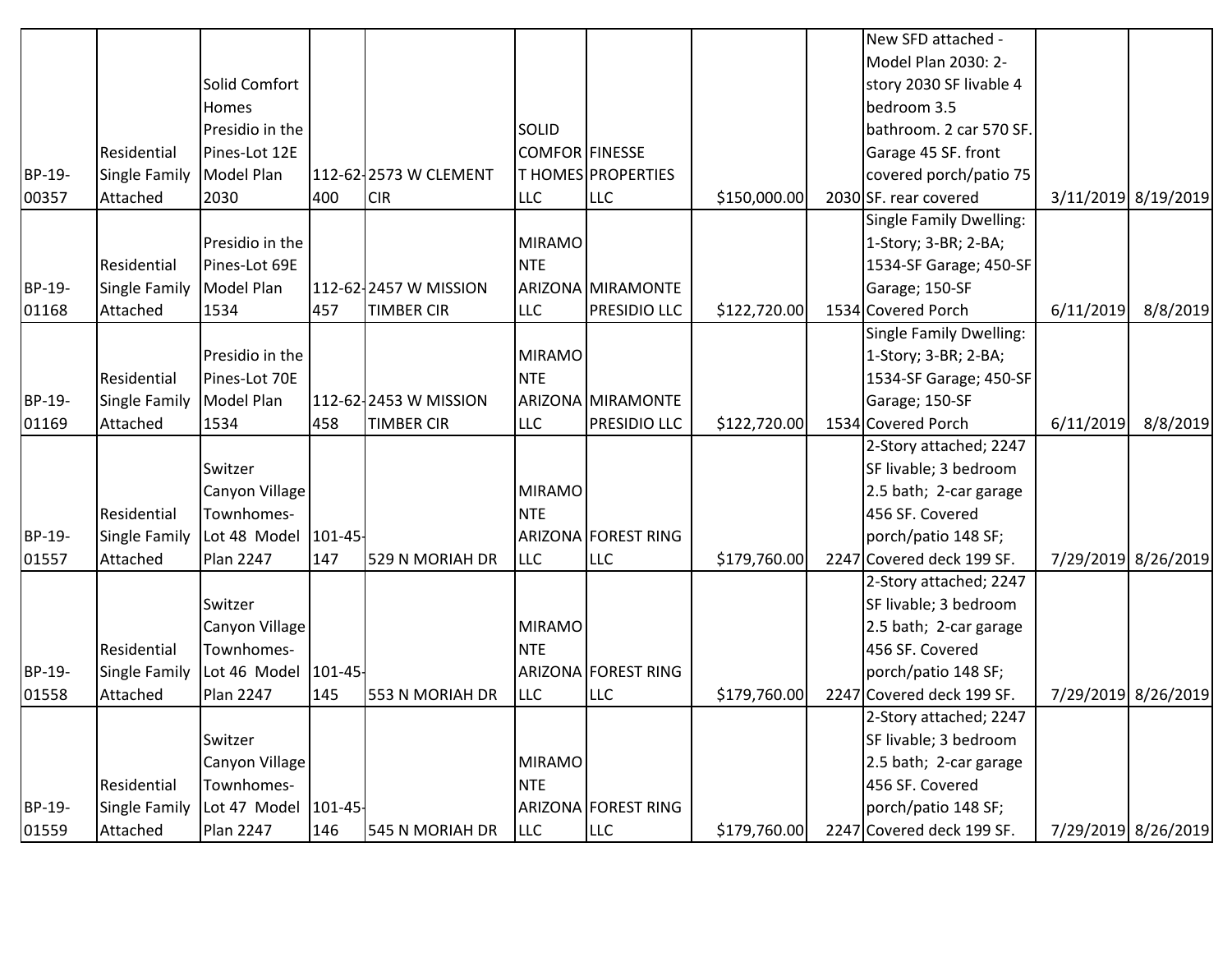|        |                      |                      |     |                       |                       |                     |              | New SFD attached -        |           |                     |
|--------|----------------------|----------------------|-----|-----------------------|-----------------------|---------------------|--------------|---------------------------|-----------|---------------------|
|        |                      |                      |     |                       |                       |                     |              | Model Plan 2030: 2-       |           |                     |
|        |                      | Solid Comfort        |     |                       |                       |                     |              | story 2030 SF livable 4   |           |                     |
|        |                      | Homes                |     |                       |                       |                     |              | bedroom 3.5               |           |                     |
|        |                      | Presidio in the      |     |                       | <b>SOLID</b>          |                     |              | bathroom. 2 car 570 SF.   |           |                     |
|        | Residential          | Pines-Lot 12E        |     |                       | <b>COMFOR FINESSE</b> |                     |              | Garage 45 SF. front       |           |                     |
| BP-19- | <b>Single Family</b> | <b>Model Plan</b>    |     | 112-62-2573 W CLEMENT |                       | T HOMES PROPERTIES  |              | covered porch/patio 75    |           |                     |
| 00357  | Attached             | 2030                 | 400 | <b>CIR</b>            | <b>LLC</b>            | <b>LLC</b>          | \$150,000.00 | 2030 SF. rear covered     |           | 3/11/2019 8/19/2019 |
|        |                      |                      |     |                       |                       |                     |              | Single Family Dwelling:   |           |                     |
|        |                      | Presidio in the      |     |                       | <b>MIRAMO</b>         |                     |              | 1-Story; 3-BR; 2-BA;      |           |                     |
|        | Residential          | Pines-Lot 69E        |     |                       | <b>NTE</b>            |                     |              | 1534-SF Garage; 450-SF    |           |                     |
| BP-19- | Single Family        | Model Plan           |     | 112-62-2457 W MISSION |                       | ARIZONA MIRAMONTE   |              | Garage; 150-SF            |           |                     |
| 01168  | Attached             | 1534                 | 457 | <b>TIMBER CIR</b>     | <b>LLC</b>            | <b>PRESIDIO LLC</b> | \$122,720.00 | 1534 Covered Porch        | 6/11/2019 | 8/8/2019            |
|        |                      |                      |     |                       |                       |                     |              | Single Family Dwelling:   |           |                     |
|        |                      | Presidio in the      |     |                       | <b>MIRAMO</b>         |                     |              | 1-Story; 3-BR; 2-BA;      |           |                     |
|        | Residential          | Pines-Lot 70E        |     |                       | <b>NTE</b>            |                     |              | 1534-SF Garage; 450-SF    |           |                     |
| BP-19- | <b>Single Family</b> | Model Plan           |     | 112-62-2453 W MISSION |                       | ARIZONA MIRAMONTE   |              | Garage; 150-SF            |           |                     |
| 01169  | Attached             | 1534                 | 458 | <b>TIMBER CIR</b>     | <b>LLC</b>            | PRESIDIO LLC        | \$122,720.00 | 1534 Covered Porch        | 6/11/2019 | 8/8/2019            |
|        |                      |                      |     |                       |                       |                     |              | 2-Story attached; 2247    |           |                     |
|        |                      | Switzer              |     |                       |                       |                     |              | SF livable; 3 bedroom     |           |                     |
|        |                      | Canyon Village       |     |                       | <b>MIRAMO</b>         |                     |              | 2.5 bath; 2-car garage    |           |                     |
|        | Residential          | Townhomes-           |     |                       | <b>NTE</b>            |                     |              | 456 SF. Covered           |           |                     |
| BP-19- | <b>Single Family</b> | Lot 48 Model 101-45- |     |                       |                       | ARIZONA FOREST RING |              | porch/patio 148 SF;       |           |                     |
| 01557  | Attached             | Plan 2247            | 147 | 529 N MORIAH DR       | <b>LLC</b>            | <b>LLC</b>          | \$179,760.00 | 2247 Covered deck 199 SF. |           | 7/29/2019 8/26/2019 |
|        |                      |                      |     |                       |                       |                     |              | 2-Story attached; 2247    |           |                     |
|        |                      | Switzer              |     |                       |                       |                     |              | SF livable; 3 bedroom     |           |                     |
|        |                      | Canyon Village       |     |                       | <b>MIRAMO</b>         |                     |              | 2.5 bath; 2-car garage    |           |                     |
|        | Residential          | Townhomes-           |     |                       | <b>NTE</b>            |                     |              | 456 SF. Covered           |           |                     |
| BP-19- | Single Family        | Lot 46 Model 101-45- |     |                       |                       | ARIZONA FOREST RING |              | porch/patio 148 SF;       |           |                     |
| 01558  | Attached             | <b>Plan 2247</b>     | 145 | 553 N MORIAH DR       | <b>LLC</b>            | <b>LLC</b>          | \$179,760.00 | 2247 Covered deck 199 SF. |           | 7/29/2019 8/26/2019 |
|        |                      |                      |     |                       |                       |                     |              | 2-Story attached; 2247    |           |                     |
|        |                      | Switzer              |     |                       |                       |                     |              | SF livable; 3 bedroom     |           |                     |
|        |                      | Canyon Village       |     |                       | <b>MIRAMO</b>         |                     |              | 2.5 bath; 2-car garage    |           |                     |
|        | Residential          | Townhomes-           |     |                       | <b>NTE</b>            |                     |              | 456 SF. Covered           |           |                     |
| BP-19- | Single Family        | Lot 47 Model 101-45- |     |                       |                       | ARIZONA FOREST RING |              | porch/patio 148 SF;       |           |                     |
| 01559  | Attached             | Plan 2247            | 146 | 545 N MORIAH DR       | <b>LLC</b>            | <b>LLC</b>          | \$179,760.00 | 2247 Covered deck 199 SF. |           | 7/29/2019 8/26/2019 |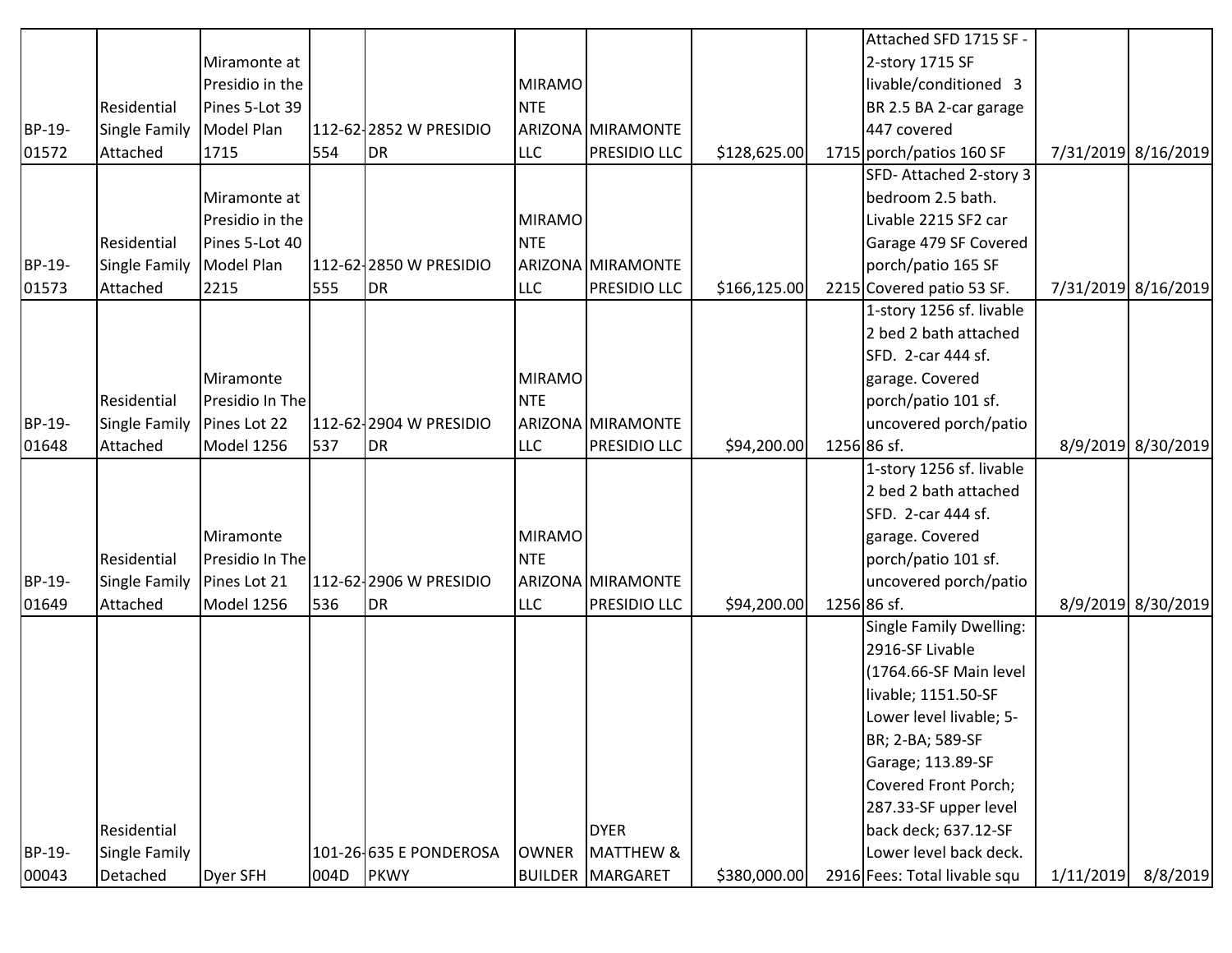|        |                      |                 |      |                        |               |                         |              | Attached SFD 1715 SF -         |           |                     |
|--------|----------------------|-----------------|------|------------------------|---------------|-------------------------|--------------|--------------------------------|-----------|---------------------|
|        |                      | Miramonte at    |      |                        |               |                         |              | 2-story 1715 SF                |           |                     |
|        |                      | Presidio in the |      |                        | MIRAMO        |                         |              | livable/conditioned 3          |           |                     |
|        | Residential          | Pines 5-Lot 39  |      |                        | <b>NTE</b>    |                         |              | BR 2.5 BA 2-car garage         |           |                     |
| BP-19- | Single Family        | Model Plan      |      | 112-62-2852 W PRESIDIO |               | ARIZONA MIRAMONTE       |              | 447 covered                    |           |                     |
| 01572  | Attached             | 1715            | 554  | <b>DR</b>              | <b>LLC</b>    | PRESIDIO LLC            | \$128,625.00 | 1715 porch/patios 160 SF       |           | 7/31/2019 8/16/2019 |
|        |                      |                 |      |                        |               |                         |              | SFD-Attached 2-story 3         |           |                     |
|        |                      | Miramonte at    |      |                        |               |                         |              | bedroom 2.5 bath.              |           |                     |
|        |                      | Presidio in the |      |                        | MIRAMO        |                         |              | Livable 2215 SF2 car           |           |                     |
|        | Residential          | Pines 5-Lot 40  |      |                        | <b>NTE</b>    |                         |              | Garage 479 SF Covered          |           |                     |
| BP-19- | <b>Single Family</b> | Model Plan      |      | 112-62-2850 W PRESIDIO |               | ARIZONA MIRAMONTE       |              | porch/patio 165 SF             |           |                     |
| 01573  | Attached             | 2215            | 555  | DR                     | <b>LLC</b>    | <b>PRESIDIO LLC</b>     | \$166,125.00 | 2215 Covered patio 53 SF.      |           | 7/31/2019 8/16/2019 |
|        |                      |                 |      |                        |               |                         |              | 1-story 1256 sf. livable       |           |                     |
|        |                      |                 |      |                        |               |                         |              | 2 bed 2 bath attached          |           |                     |
|        |                      |                 |      |                        |               |                         |              | SFD. 2-car 444 sf.             |           |                     |
|        |                      | Miramonte       |      |                        | <b>MIRAMO</b> |                         |              | garage. Covered                |           |                     |
|        | Residential          | Presidio In The |      |                        | <b>NTE</b>    |                         |              | porch/patio 101 sf.            |           |                     |
| BP-19- | <b>Single Family</b> | Pines Lot 22    |      | 112-62-2904 W PRESIDIO |               | ARIZONA MIRAMONTE       |              | uncovered porch/patio          |           |                     |
| 01648  | Attached             | Model 1256      | 537  | DR                     | <b>LLC</b>    | <b>PRESIDIO LLC</b>     | \$94,200.00  | 1256 86 sf.                    |           | 8/9/2019 8/30/2019  |
|        |                      |                 |      |                        |               |                         |              | 1-story 1256 sf. livable       |           |                     |
|        |                      |                 |      |                        |               |                         |              | 2 bed 2 bath attached          |           |                     |
|        |                      |                 |      |                        |               |                         |              | SFD. 2-car 444 sf.             |           |                     |
|        |                      | Miramonte       |      |                        | <b>MIRAMO</b> |                         |              | garage. Covered                |           |                     |
|        | Residential          | Presidio In The |      |                        | <b>NTE</b>    |                         |              | porch/patio 101 sf.            |           |                     |
| BP-19- | Single Family        | Pines Lot 21    |      | 112-62-2906 W PRESIDIO |               | ARIZONA MIRAMONTE       |              | uncovered porch/patio          |           |                     |
| 01649  | Attached             | Model 1256      | 536  | DR                     | <b>LLC</b>    | <b>PRESIDIO LLC</b>     | \$94,200.00  | 1256 86 sf.                    |           | 8/9/2019 8/30/2019  |
|        |                      |                 |      |                        |               |                         |              | <b>Single Family Dwelling:</b> |           |                     |
|        |                      |                 |      |                        |               |                         |              | 2916-SF Livable                |           |                     |
|        |                      |                 |      |                        |               |                         |              | (1764.66-SF Main level         |           |                     |
|        |                      |                 |      |                        |               |                         |              | livable; 1151.50-SF            |           |                     |
|        |                      |                 |      |                        |               |                         |              | Lower level livable; 5-        |           |                     |
|        |                      |                 |      |                        |               |                         |              | BR; 2-BA; 589-SF               |           |                     |
|        |                      |                 |      |                        |               |                         |              | Garage; 113.89-SF              |           |                     |
|        |                      |                 |      |                        |               |                         |              | Covered Front Porch;           |           |                     |
|        |                      |                 |      |                        |               |                         |              | 287.33-SF upper level          |           |                     |
|        | Residential          |                 |      |                        |               | <b>DYER</b>             |              | back deck; 637.12-SF           |           |                     |
| BP-19- | <b>Single Family</b> |                 |      | 101-26-635 E PONDEROSA | <b>OWNER</b>  | <b>MATTHEW &amp;</b>    |              | Lower level back deck.         |           |                     |
| 00043  | Detached             | Dyer SFH        | 004D | <b>PKWY</b>            |               | <b>BUILDER MARGARET</b> | \$380,000.00 | 2916 Fees: Total livable squ   | 1/11/2019 | 8/8/2019            |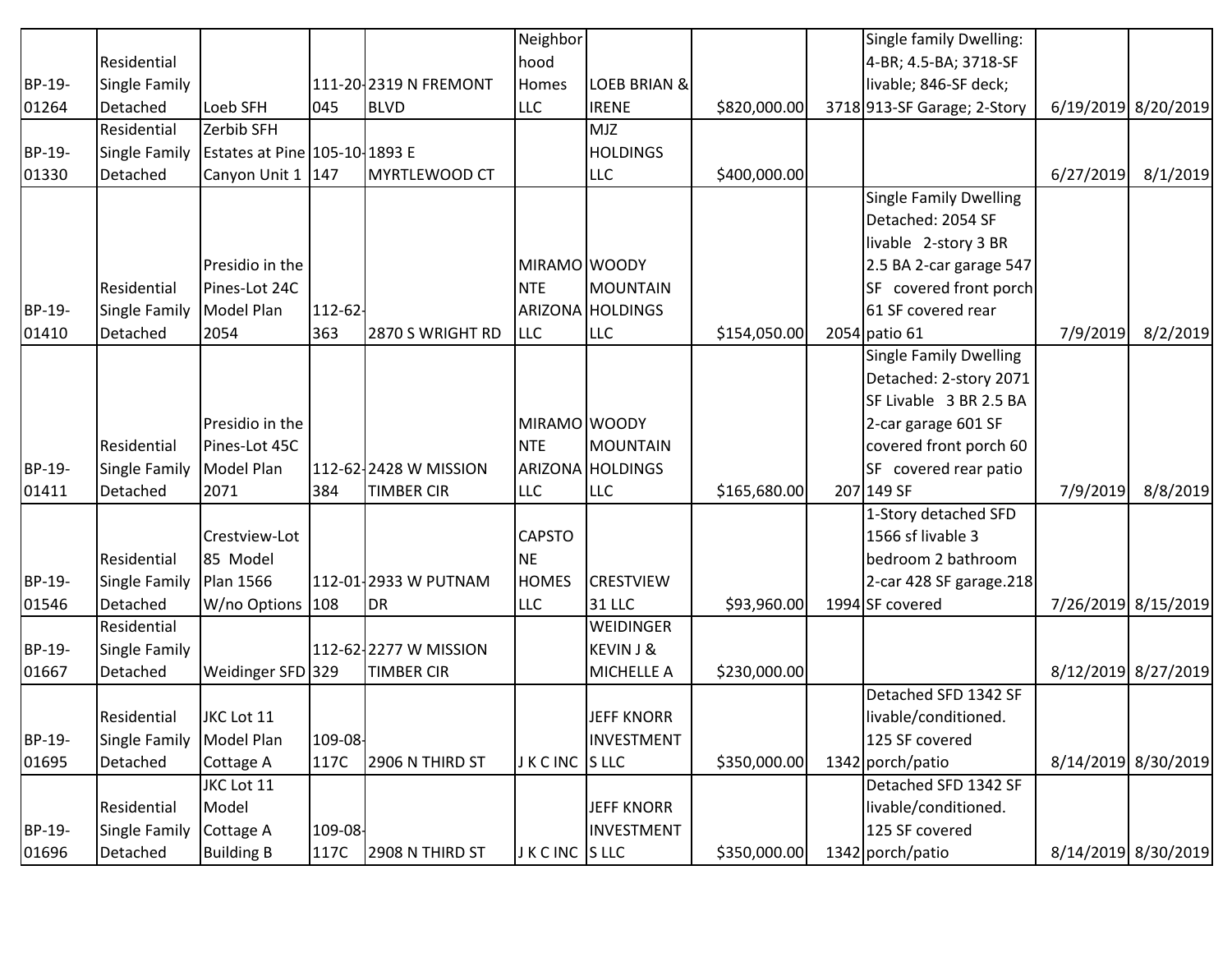|        |                      |                                      |            |                       | Neighbor        |                         |              | Single family Dwelling:       |           |                     |
|--------|----------------------|--------------------------------------|------------|-----------------------|-----------------|-------------------------|--------------|-------------------------------|-----------|---------------------|
|        | Residential          |                                      |            |                       | hood            |                         |              | 4-BR; 4.5-BA; 3718-SF         |           |                     |
| BP-19- | Single Family        |                                      |            | 111-20 2319 N FREMONT | Homes           | <b>LOEB BRIAN &amp;</b> |              | livable; 846-SF deck;         |           |                     |
| 01264  | Detached             | Loeb SFH                             | 045        | <b>BLVD</b>           | <b>LLC</b>      | <b>IRENE</b>            | \$820,000.00 | 3718 913-SF Garage; 2-Story   |           | 6/19/2019 8/20/2019 |
|        | Residential          | Zerbib SFH                           |            |                       |                 | <b>MJZ</b>              |              |                               |           |                     |
| BP-19- | <b>Single Family</b> | <b>Estates at Pine 105-10-1893 E</b> |            |                       |                 | <b>HOLDINGS</b>         |              |                               |           |                     |
| 01330  | Detached             | Canyon Unit 1   147                  |            | MYRTLEWOOD CT         |                 | <b>LLC</b>              | \$400,000.00 |                               | 6/27/2019 | 8/1/2019            |
|        |                      |                                      |            |                       |                 |                         |              | <b>Single Family Dwelling</b> |           |                     |
|        |                      |                                      |            |                       |                 |                         |              | Detached: 2054 SF             |           |                     |
|        |                      |                                      |            |                       |                 |                         |              | livable 2-story 3 BR          |           |                     |
|        |                      | Presidio in the                      |            |                       | MIRAMO WOODY    |                         |              | 2.5 BA 2-car garage 547       |           |                     |
|        | Residential          | Pines-Lot 24C                        |            |                       | <b>NTE</b>      | MOUNTAIN                |              | SF covered front porch        |           |                     |
| BP-19- | Single Family        | Model Plan                           | $112 - 62$ |                       |                 | ARIZONA HOLDINGS        |              | 61 SF covered rear            |           |                     |
| 01410  | Detached             | 2054                                 | 363        | 2870 S WRIGHT RD      | <b>LLC</b>      | <b>LLC</b>              | \$154,050.00 | 2054 patio 61                 | 7/9/2019  | 8/2/2019            |
|        |                      |                                      |            |                       |                 |                         |              | <b>Single Family Dwelling</b> |           |                     |
|        |                      |                                      |            |                       |                 |                         |              | Detached: 2-story 2071        |           |                     |
|        |                      |                                      |            |                       |                 |                         |              | SF Livable 3 BR 2.5 BA        |           |                     |
|        |                      | Presidio in the                      |            |                       | MIRAMO WOODY    |                         |              | 2-car garage 601 SF           |           |                     |
|        | Residential          | Pines-Lot 45C                        |            |                       | <b>NTE</b>      | MOUNTAIN                |              | covered front porch 60        |           |                     |
| BP-19- | Single Family        | Model Plan                           |            | 112-62-2428 W MISSION |                 | ARIZONA HOLDINGS        |              | SF covered rear patio         |           |                     |
| 01411  | Detached             | 2071                                 | 384        | <b>TIMBER CIR</b>     | <b>LLC</b>      | <b>LLC</b>              | \$165,680.00 | 207 149 SF                    | 7/9/2019  | 8/8/2019            |
|        |                      |                                      |            |                       |                 |                         |              | 1-Story detached SFD          |           |                     |
|        |                      | Crestview-Lot                        |            |                       | <b>CAPSTO</b>   |                         |              | 1566 sf livable 3             |           |                     |
|        | Residential          | 85 Model                             |            |                       | <b>NE</b>       |                         |              | bedroom 2 bathroom            |           |                     |
| BP-19- | Single Family        | Plan 1566                            |            | 112-01-2933 W PUTNAM  | <b>HOMES</b>    | <b>CRESTVIEW</b>        |              | 2-car 428 SF garage.218       |           |                     |
| 01546  | Detached             | W/no Options 108                     |            | DR                    | <b>LLC</b>      | <b>31 LLC</b>           | \$93,960.00  | 1994 SF covered               |           | 7/26/2019 8/15/2019 |
|        | Residential          |                                      |            |                       |                 | WEIDINGER               |              |                               |           |                     |
| BP-19- | Single Family        |                                      |            | 112-62-2277 W MISSION |                 | <b>KEVIN J &amp;</b>    |              |                               |           |                     |
| 01667  | Detached             | Weidinger SFD 329                    |            | <b>TIMBER CIR</b>     |                 | MICHELLE A              | \$230,000.00 |                               |           | 8/12/2019 8/27/2019 |
|        |                      |                                      |            |                       |                 |                         |              | Detached SFD 1342 SF          |           |                     |
|        | Residential          | JKC Lot 11                           |            |                       |                 | JEFF KNORR              |              | livable/conditioned.          |           |                     |
| BP-19- | Single Family        | Model Plan                           | 109-08-    |                       |                 | INVESTMENT              |              | 125 SF covered                |           |                     |
| 01695  | Detached             | Cottage A                            | 117C       | 2906 N THIRD ST       | J K C INC S LLC |                         | \$350,000.00 | 1342 porch/patio              |           | 8/14/2019 8/30/2019 |
|        |                      | JKC Lot 11                           |            |                       |                 |                         |              | Detached SFD 1342 SF          |           |                     |
|        | Residential          | Model                                |            |                       |                 | <b>JEFF KNORR</b>       |              | livable/conditioned.          |           |                     |
| BP-19- | Single Family        | Cottage A                            | 109-08-    |                       |                 | INVESTMENT              |              | 125 SF covered                |           |                     |
| 01696  | Detached             | <b>Building B</b>                    | 117C       | 2908 N THIRD ST       | J K C INC S LLC |                         | \$350,000.00 | 1342 porch/patio              |           | 8/14/2019 8/30/2019 |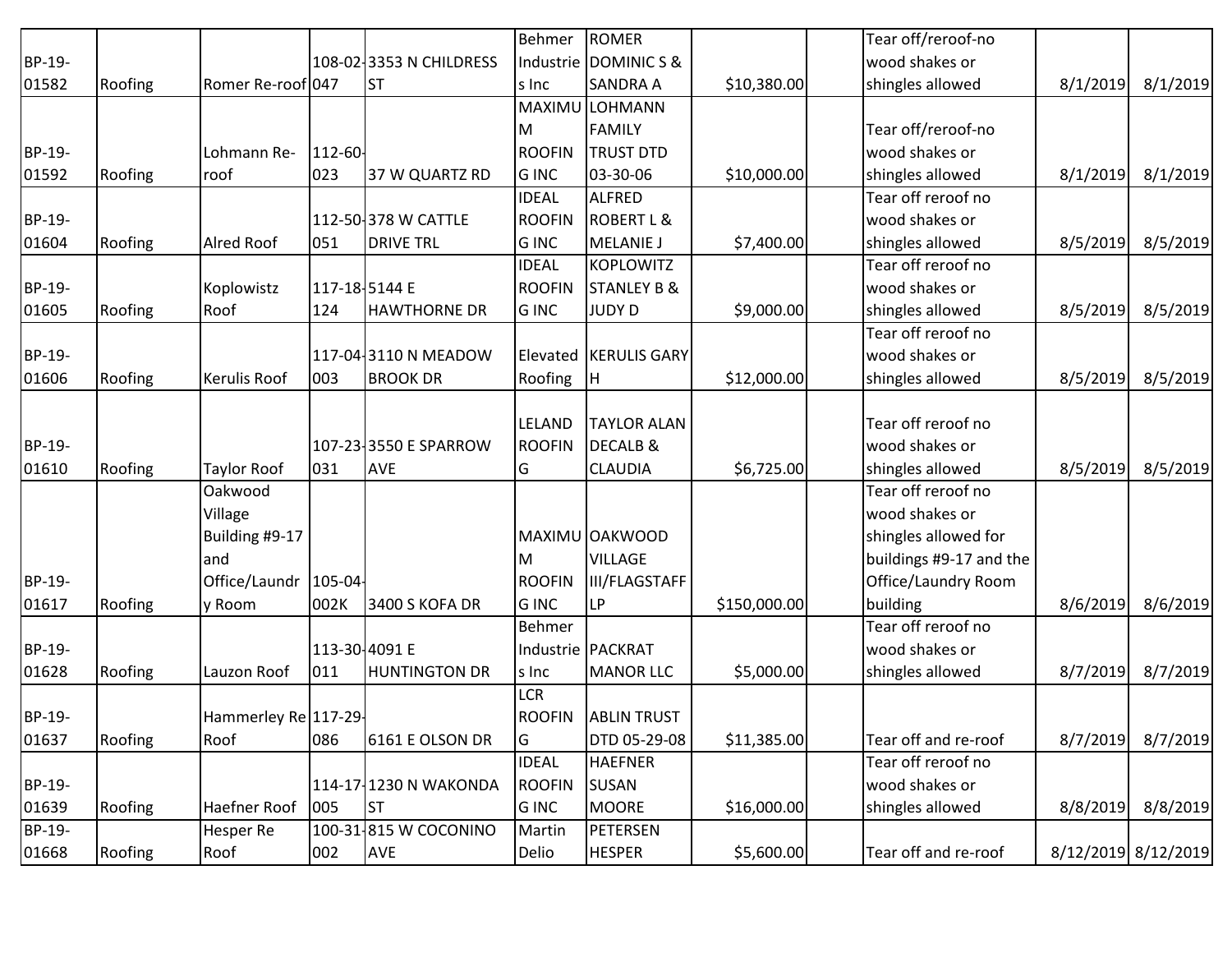|        |         |                       |               |                         | <b>Behmer</b> | <b>ROMER</b>           |              | Tear off/reroof-no      |                     |          |
|--------|---------|-----------------------|---------------|-------------------------|---------------|------------------------|--------------|-------------------------|---------------------|----------|
| BP-19- |         |                       |               | 108-02 3353 N CHILDRESS |               | Industrie DOMINIC S &  |              | wood shakes or          |                     |          |
| 01582  | Roofing | Romer Re-roof 047     |               | <b>ST</b>               | s Inc         | <b>SANDRA A</b>        | \$10,380.00  | shingles allowed        | 8/1/2019            | 8/1/2019 |
|        |         |                       |               |                         |               | MAXIMU LOHMANN         |              |                         |                     |          |
|        |         |                       |               |                         | M             | <b>FAMILY</b>          |              | Tear off/reroof-no      |                     |          |
| BP-19- |         | Lohmann Re-           | 112-60-       |                         | <b>ROOFIN</b> | <b>TRUST DTD</b>       |              | wood shakes or          |                     |          |
| 01592  | Roofing | roof                  | 023           | 37 W QUARTZ RD          | <b>GINC</b>   | 03-30-06               | \$10,000.00  | shingles allowed        | 8/1/2019            | 8/1/2019 |
|        |         |                       |               |                         | <b>IDEAL</b>  | <b>ALFRED</b>          |              | Tear off reroof no      |                     |          |
| BP-19- |         |                       |               | 112-50-378 W CATTLE     | <b>ROOFIN</b> | <b>ROBERT L &amp;</b>  |              | wood shakes or          |                     |          |
| 01604  | Roofing | <b>Alred Roof</b>     | 051           | <b>DRIVE TRL</b>        | <b>GINC</b>   | <b>MELANIE J</b>       | \$7,400.00   | shingles allowed        | 8/5/2019            | 8/5/2019 |
|        |         |                       |               |                         | <b>IDEAL</b>  | <b>KOPLOWITZ</b>       |              | Tear off reroof no      |                     |          |
| BP-19- |         | Koplowistz            |               | 117-18-5144 E           | <b>ROOFIN</b> | <b>STANLEY B &amp;</b> |              | wood shakes or          |                     |          |
| 01605  | Roofing | Roof                  | 124           | <b>HAWTHORNE DR</b>     | <b>GINC</b>   | <b>JUDY D</b>          | \$9,000.00   | shingles allowed        | 8/5/2019            | 8/5/2019 |
|        |         |                       |               |                         |               |                        |              | Tear off reroof no      |                     |          |
| BP-19- |         |                       |               | 117-04 3110 N MEADOW    |               | Elevated KERULIS GARY  |              | wood shakes or          |                     |          |
| 01606  | Roofing | Kerulis Roof          | 003           | <b>BROOK DR</b>         | Roofing       | H                      | \$12,000.00  | shingles allowed        | 8/5/2019            | 8/5/2019 |
|        |         |                       |               |                         |               |                        |              |                         |                     |          |
|        |         |                       |               |                         | <b>LELAND</b> | <b>TAYLOR ALAN</b>     |              | Tear off reroof no      |                     |          |
| BP-19- |         |                       |               | 107-23-3550 E SPARROW   | <b>ROOFIN</b> | <b>DECALB &amp;</b>    |              | wood shakes or          |                     |          |
| 01610  | Roofing | <b>Taylor Roof</b>    | 031           | <b>AVE</b>              | G             | <b>CLAUDIA</b>         | \$6,725.00   | shingles allowed        | 8/5/2019            | 8/5/2019 |
|        |         | Oakwood               |               |                         |               |                        |              | Tear off reroof no      |                     |          |
|        |         | Village               |               |                         |               |                        |              | wood shakes or          |                     |          |
|        |         | Building #9-17        |               |                         |               | MAXIMU OAKWOOD         |              | shingles allowed for    |                     |          |
|        |         | and                   |               |                         | M             | <b>VILLAGE</b>         |              | buildings #9-17 and the |                     |          |
| BP-19- |         | Office/Laundr 105-04- |               |                         | <b>ROOFIN</b> | <b>III/FLAGSTAFF</b>   |              | Office/Laundry Room     |                     |          |
| 01617  | Roofing | y Room                | 002K          | 3400 S KOFA DR          | <b>GINC</b>   | LP                     | \$150,000.00 | building                | 8/6/2019            | 8/6/2019 |
|        |         |                       |               |                         | Behmer        |                        |              | Tear off reroof no      |                     |          |
| BP-19- |         |                       | 113-30-4091 E |                         |               | Industrie PACKRAT      |              | wood shakes or          |                     |          |
| 01628  | Roofing | Lauzon Roof           | 011           | <b>HUNTINGTON DR</b>    | s Inc         | <b>MANOR LLC</b>       | \$5,000.00   | shingles allowed        | 8/7/2019            | 8/7/2019 |
|        |         |                       |               |                         | <b>LCR</b>    |                        |              |                         |                     |          |
| BP-19- |         | Hammerley Re 117-29-  |               |                         | <b>ROOFIN</b> | <b>ABLIN TRUST</b>     |              |                         |                     |          |
| 01637  | Roofing | Roof                  | 086           | 6161 E OLSON DR         | G             | DTD 05-29-08           | \$11,385.00  | Tear off and re-roof    | 8/7/2019            | 8/7/2019 |
|        |         |                       |               |                         | <b>IDEAL</b>  | <b>HAEFNER</b>         |              | Tear off reroof no      |                     |          |
| BP-19- |         |                       |               | 114-17-1230 N WAKONDA   | <b>ROOFIN</b> | <b>SUSAN</b>           |              | wood shakes or          |                     |          |
| 01639  | Roofing | Haefner Roof          | 005           | <b>ST</b>               | <b>GINC</b>   | <b>MOORE</b>           | \$16,000.00  | shingles allowed        | 8/8/2019            | 8/8/2019 |
| BP-19- |         | <b>Hesper Re</b>      |               | 100-31-815 W COCONINO   | Martin        | PETERSEN               |              |                         |                     |          |
| 01668  | Roofing | Roof                  | 002           | <b>AVE</b>              | Delio         | <b>HESPER</b>          | \$5,600.00   | Tear off and re-roof    | 8/12/2019 8/12/2019 |          |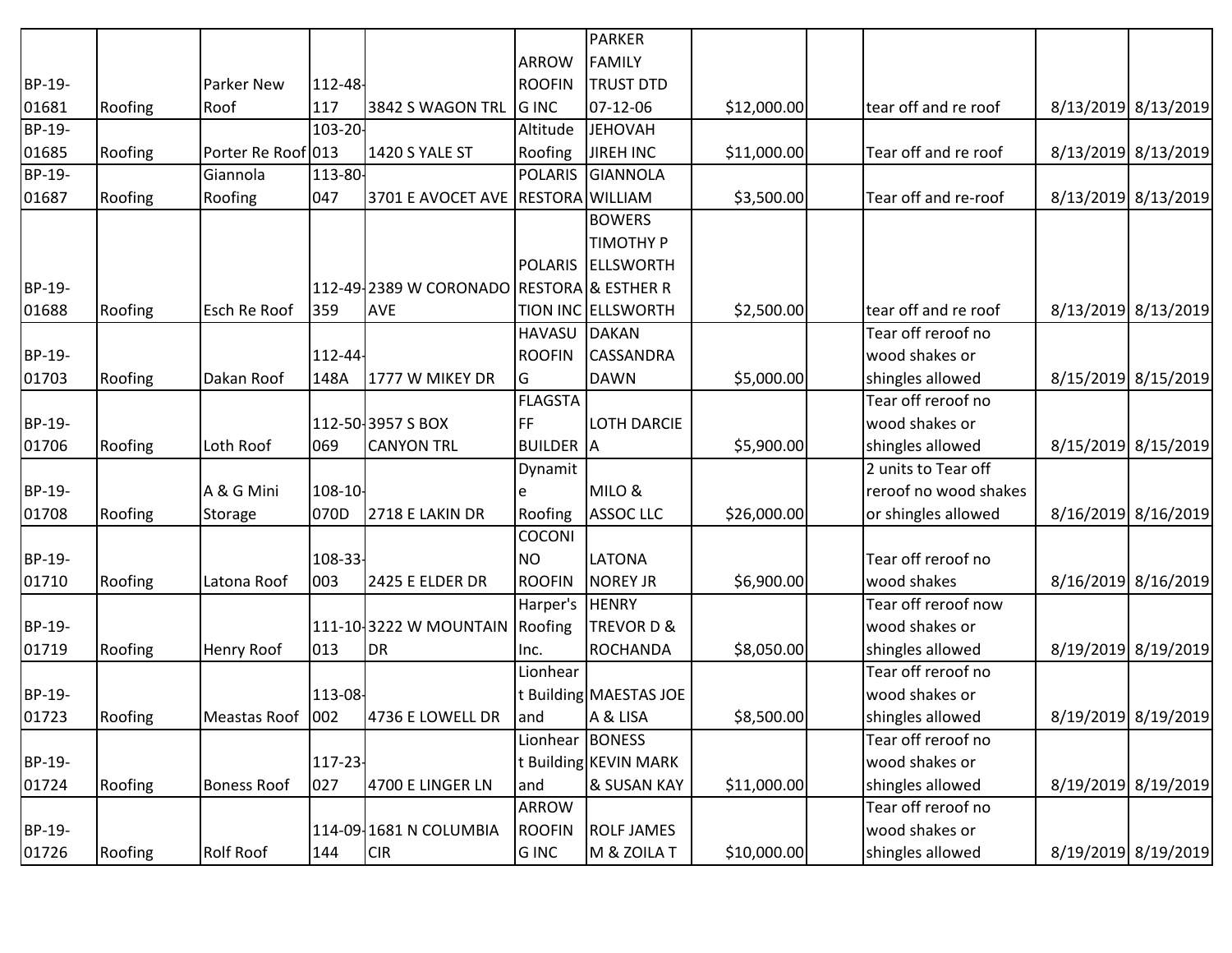|        |         |                    |         |                                           |                  | <b>PARKER</b>          |             |                       |                     |
|--------|---------|--------------------|---------|-------------------------------------------|------------------|------------------------|-------------|-----------------------|---------------------|
|        |         |                    |         |                                           | <b>ARROW</b>     | <b>FAMILY</b>          |             |                       |                     |
| BP-19- |         | <b>Parker New</b>  | 112-48- |                                           | <b>ROOFIN</b>    | <b>TRUST DTD</b>       |             |                       |                     |
| 01681  | Roofing | Roof               | 117     | 3842 S WAGON TRL                          | <b>G</b> INC     | 07-12-06               | \$12,000.00 | tear off and re roof  | 8/13/2019 8/13/2019 |
| BP-19- |         |                    | 103-20- |                                           | Altitude         | <b>JEHOVAH</b>         |             |                       |                     |
| 01685  | Roofing | Porter Re Roof 013 |         | 1420 S YALE ST                            | Roofing          | JIREH INC              | \$11,000.00 | Tear off and re roof  | 8/13/2019 8/13/2019 |
| BP-19- |         | Giannola           | 113-80- |                                           | <b>POLARIS</b>   | GIANNOLA               |             |                       |                     |
| 01687  | Roofing | Roofing            | 047     | 3701 E AVOCET AVE RESTORA WILLIAM         |                  |                        | \$3,500.00  | Tear off and re-roof  | 8/13/2019 8/13/2019 |
|        |         |                    |         |                                           |                  | <b>BOWERS</b>          |             |                       |                     |
|        |         |                    |         |                                           |                  | <b>TIMOTHY P</b>       |             |                       |                     |
|        |         |                    |         |                                           |                  | POLARIS ELLSWORTH      |             |                       |                     |
| BP-19- |         |                    |         | 112-49 2389 W CORONADO RESTORA & ESTHER R |                  |                        |             |                       |                     |
| 01688  | Roofing | Esch Re Roof       | 359     | AVE                                       |                  | TION INC ELLSWORTH     | \$2,500.00  | tear off and re roof  | 8/13/2019 8/13/2019 |
|        |         |                    |         |                                           | <b>HAVASU</b>    | DAKAN                  |             | Tear off reroof no    |                     |
| BP-19- |         |                    | 112-44  |                                           | <b>ROOFIN</b>    | <b>CASSANDRA</b>       |             | wood shakes or        |                     |
| 01703  | Roofing | Dakan Roof         | 148A    | 1777 W MIKEY DR                           | IG               | DAWN                   | \$5,000.00  | shingles allowed      | 8/15/2019 8/15/2019 |
|        |         |                    |         |                                           | <b>FLAGSTA</b>   |                        |             | Tear off reroof no    |                     |
| BP-19- |         |                    |         | 112-50-3957 S BOX                         | FF               | <b>LOTH DARCIE</b>     |             | wood shakes or        |                     |
| 01706  | Roofing | Loth Roof          | 069     | <b>CANYON TRL</b>                         | <b>BUILDER</b> A |                        | \$5,900.00  | shingles allowed      | 8/15/2019 8/15/2019 |
|        |         |                    |         |                                           | Dynamit          |                        |             | 2 units to Tear off   |                     |
| BP-19- |         | A & G Mini         | 108-10- |                                           |                  | MILO &                 |             | reroof no wood shakes |                     |
| 01708  | Roofing | Storage            | 070D    | 2718 E LAKIN DR                           | Roofing          | ASSOC LLC              | \$26,000.00 | or shingles allowed   | 8/16/2019 8/16/2019 |
|        |         |                    |         |                                           | COCONI           |                        |             |                       |                     |
| BP-19- |         |                    | 108-33- |                                           | NO <sub></sub>   | <b>LATONA</b>          |             | Tear off reroof no    |                     |
| 01710  | Roofing | Latona Roof        | 003     | 2425 E ELDER DR                           | <b>ROOFIN</b>    | <b>NOREY JR</b>        | \$6,900.00  | wood shakes           | 8/16/2019 8/16/2019 |
|        |         |                    |         |                                           | Harper's         | <b>HENRY</b>           |             | Tear off reroof now   |                     |
| BP-19- |         |                    |         | 111-10-3222 W MOUNTAIN Roofing            |                  | TREVOR D &             |             | wood shakes or        |                     |
| 01719  | Roofing | <b>Henry Roof</b>  | 013     | <b>DR</b>                                 | Inc.             | ROCHANDA               | \$8,050.00  | shingles allowed      | 8/19/2019 8/19/2019 |
|        |         |                    |         |                                           | Lionhear         |                        |             | Tear off reroof no    |                     |
| BP-19- |         |                    | 113-08- |                                           |                  | t Building MAESTAS JOE |             | wood shakes or        |                     |
| 01723  | Roofing | Meastas Roof   002 |         | 4736 E LOWELL DR                          | land             | A & LISA               | \$8,500.00  | shingles allowed      | 8/19/2019 8/19/2019 |
|        |         |                    |         |                                           | Lionhear BONESS  |                        |             | Tear off reroof no    |                     |
| BP-19- |         |                    | 117-23- |                                           |                  | t Building KEVIN MARK  |             | wood shakes or        |                     |
| 01724  | Roofing | <b>Boness Roof</b> | 027     | 4700 E LINGER LN                          | and              | & SUSAN KAY            | \$11,000.00 | shingles allowed      | 8/19/2019 8/19/2019 |
|        |         |                    |         |                                           | ARROW            |                        |             | Tear off reroof no    |                     |
| BP-19- |         |                    |         | 114-09-1681 N COLUMBIA                    | <b>ROOFIN</b>    | <b>ROLF JAMES</b>      |             | wood shakes or        |                     |
| 01726  | Roofing | Rolf Roof          | 144     | <b>CIR</b>                                | G INC            | M & ZOILA T            | \$10,000.00 | shingles allowed      | 8/19/2019 8/19/2019 |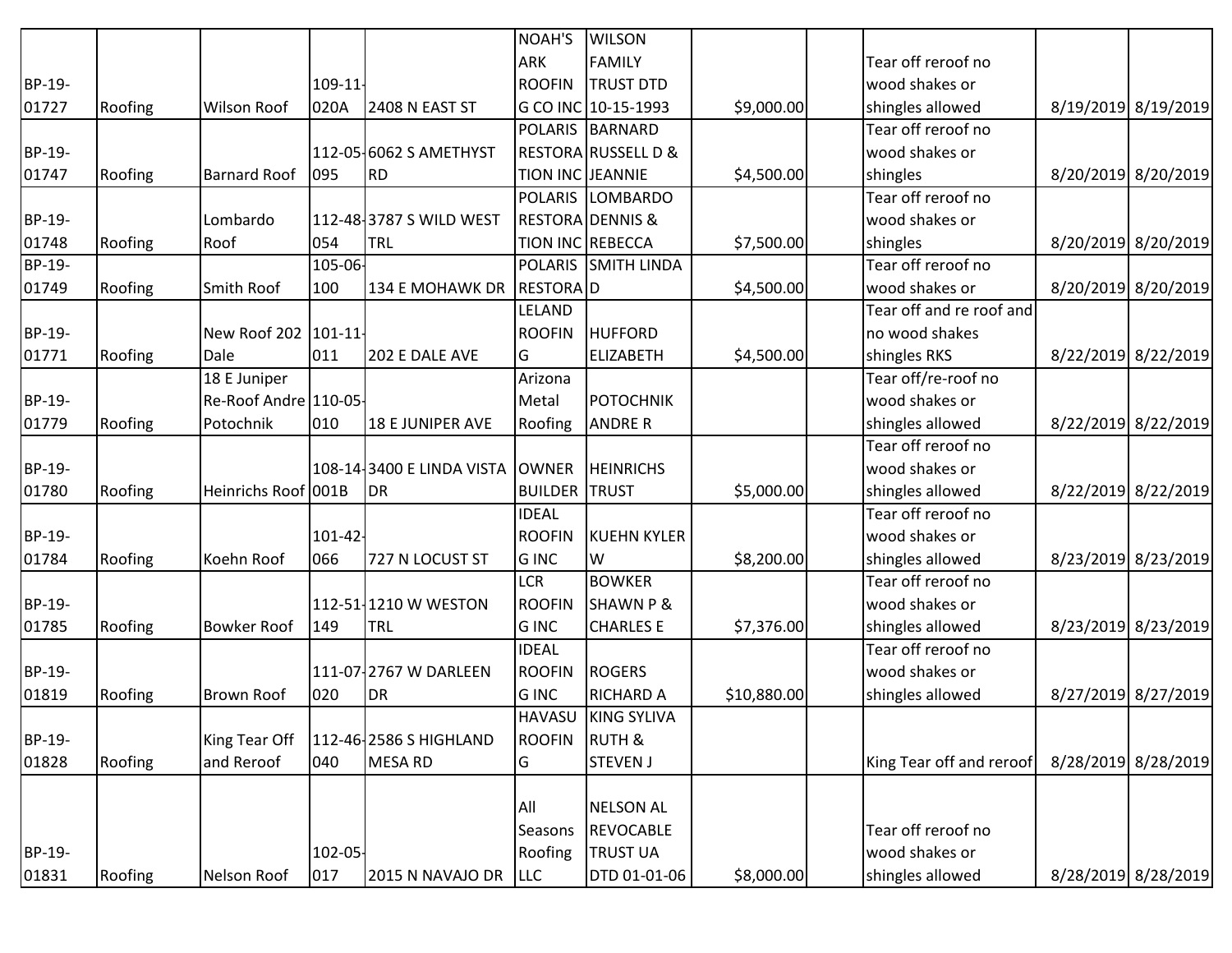|               |         |                        |            |                           | NOAH'S           | <b>WILSON</b>                  |             |                          |                     |
|---------------|---------|------------------------|------------|---------------------------|------------------|--------------------------------|-------------|--------------------------|---------------------|
|               |         |                        |            |                           | <b>ARK</b>       | <b>FAMILY</b>                  |             | Tear off reroof no       |                     |
| BP-19-        |         |                        | 109-11-    |                           | <b>ROOFIN</b>    | <b>TRUST DTD</b>               |             | wood shakes or           |                     |
| 01727         | Roofing | <b>Wilson Roof</b>     | 020A       | 2408 N EAST ST            |                  | G CO INC 10-15-1993            | \$9,000.00  | shingles allowed         | 8/19/2019 8/19/2019 |
|               |         |                        |            |                           |                  | POLARIS BARNARD                |             | Tear off reroof no       |                     |
| BP-19-        |         |                        |            | 112-05-6062 S AMETHYST    |                  | <b>RESTORA RUSSELL D &amp;</b> |             | wood shakes or           |                     |
| 01747         | Roofing | <b>Barnard Roof</b>    | 095        | <b>RD</b>                 | TION INC JEANNIE |                                | \$4,500.00  | shingles                 | 8/20/2019 8/20/2019 |
|               |         |                        |            |                           | <b>POLARIS</b>   | <b>LOMBARDO</b>                |             | Tear off reroof no       |                     |
| BP-19-        |         | Lombardo               |            | 112-48-3787 S WILD WEST   |                  | <b>RESTORA DENNIS &amp;</b>    |             | wood shakes or           |                     |
| 01748         | Roofing | Roof                   | 054        | <b>TRL</b>                | TION INC REBECCA |                                | \$7,500.00  | shingles                 | 8/20/2019 8/20/2019 |
| <b>BP-19-</b> |         |                        | 105-06-    |                           |                  | POLARIS SMITH LINDA            |             | Tear off reroof no       |                     |
| 01749         | Roofing | Smith Roof             | 100        | 134 E MOHAWK DR           | <b>RESTORAID</b> |                                | \$4,500.00  | wood shakes or           | 8/20/2019 8/20/2019 |
|               |         |                        |            |                           | LELAND           |                                |             | Tear off and re roof and |                     |
| BP-19-        |         | New Roof 202   101-11- |            |                           | <b>ROOFIN</b>    | <b>HUFFORD</b>                 |             | no wood shakes           |                     |
| 01771         | Roofing | Dale                   | 011        | 202 E DALE AVE            | IG               | <b>ELIZABETH</b>               | \$4,500.00  | shingles RKS             | 8/22/2019 8/22/2019 |
|               |         | 18 E Juniper           |            |                           | Arizona          |                                |             | Tear off/re-roof no      |                     |
| BP-19-        |         | Re-Roof Andre 110-05-  |            |                           | Metal            | POTOCHNIK                      |             | wood shakes or           |                     |
| 01779         | Roofing | Potochnik              | 010        | <b>18 E JUNIPER AVE</b>   | Roofing          | <b>ANDRE R</b>                 |             | shingles allowed         | 8/22/2019 8/22/2019 |
|               |         |                        |            |                           |                  |                                |             | Tear off reroof no       |                     |
| BP-19-        |         |                        |            | 108-14-3400 E LINDA VISTA | <b>OWNER</b>     | <b>HEINRICHS</b>               |             | wood shakes or           |                     |
| 01780         | Roofing | Heinrichs Roof 001B    |            | <b>DR</b>                 | <b>BUILDER</b>   | <b>TRUST</b>                   | \$5,000.00  | shingles allowed         | 8/22/2019 8/22/2019 |
|               |         |                        |            |                           | <b>IDEAL</b>     |                                |             | Tear off reroof no       |                     |
| BP-19-        |         |                        | $101 - 42$ |                           | <b>ROOFIN</b>    | <b>KUEHN KYLER</b>             |             | wood shakes or           |                     |
| 01784         | Roofing | Koehn Roof             | 066        | 727 N LOCUST ST           | G INC            | lw                             | \$8,200.00  | shingles allowed         | 8/23/2019 8/23/2019 |
|               |         |                        |            |                           | <b>LCR</b>       | <b>BOWKER</b>                  |             | Tear off reroof no       |                     |
| BP-19-        |         |                        |            | 112-51-1210 W WESTON      | <b>ROOFIN</b>    | <b>SHAWN P &amp;</b>           |             | wood shakes or           |                     |
| 01785         | Roofing | <b>Bowker Roof</b>     | 149        | <b>TRL</b>                | <b>G INC</b>     | <b>CHARLES E</b>               | \$7,376.00  | shingles allowed         | 8/23/2019 8/23/2019 |
|               |         |                        |            |                           | <b>IDEAL</b>     |                                |             | Tear off reroof no       |                     |
| BP-19-        |         |                        |            | 111-07-2767 W DARLEEN     | <b>ROOFIN</b>    | <b>ROGERS</b>                  |             | wood shakes or           |                     |
| 01819         | Roofing | <b>Brown Roof</b>      | 020        | <b>DR</b>                 | G INC            | <b>RICHARD A</b>               | \$10,880.00 | shingles allowed         | 8/27/2019 8/27/2019 |
|               |         |                        |            |                           | <b>HAVASU</b>    | KING SYLIVA                    |             |                          |                     |
| BP-19-        |         | King Tear Off          |            | 112-46-2586 S HIGHLAND    | <b>ROOFIN</b>    | <b>RUTH &amp;</b>              |             |                          |                     |
| 01828         | Roofing | and Reroof             | 040        | <b>MESA RD</b>            | lG.              | <b>STEVEN J</b>                |             | King Tear off and reroof | 8/28/2019 8/28/2019 |
|               |         |                        |            |                           |                  |                                |             |                          |                     |
|               |         |                        |            |                           | <b>All</b>       | <b>NELSON AL</b>               |             |                          |                     |
|               |         |                        |            |                           | Seasons          | <b>REVOCABLE</b>               |             | Tear off reroof no       |                     |
| BP-19-        |         |                        | 102-05-    |                           | Roofing          | <b>TRUST UA</b>                |             | wood shakes or           |                     |
| 01831         | Roofing | Nelson Roof            | 017        | 2015 N NAVAJO DR          | <b>LLC</b>       | DTD 01-01-06                   | \$8,000.00  | shingles allowed         | 8/28/2019 8/28/2019 |